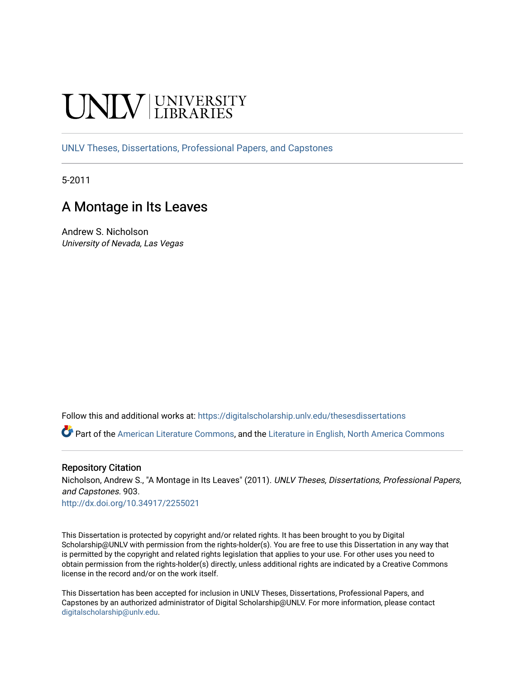# **INIVERSITY**

[UNLV Theses, Dissertations, Professional Papers, and Capstones](https://digitalscholarship.unlv.edu/thesesdissertations)

5-2011

# A Montage in Its Leaves

Andrew S. Nicholson University of Nevada, Las Vegas

Follow this and additional works at: [https://digitalscholarship.unlv.edu/thesesdissertations](https://digitalscholarship.unlv.edu/thesesdissertations?utm_source=digitalscholarship.unlv.edu%2Fthesesdissertations%2F903&utm_medium=PDF&utm_campaign=PDFCoverPages)

Part of the [American Literature Commons](http://network.bepress.com/hgg/discipline/441?utm_source=digitalscholarship.unlv.edu%2Fthesesdissertations%2F903&utm_medium=PDF&utm_campaign=PDFCoverPages), and the [Literature in English, North America Commons](http://network.bepress.com/hgg/discipline/458?utm_source=digitalscholarship.unlv.edu%2Fthesesdissertations%2F903&utm_medium=PDF&utm_campaign=PDFCoverPages) 

#### Repository Citation

Nicholson, Andrew S., "A Montage in Its Leaves" (2011). UNLV Theses, Dissertations, Professional Papers, and Capstones. 903.

<http://dx.doi.org/10.34917/2255021>

This Dissertation is protected by copyright and/or related rights. It has been brought to you by Digital Scholarship@UNLV with permission from the rights-holder(s). You are free to use this Dissertation in any way that is permitted by the copyright and related rights legislation that applies to your use. For other uses you need to obtain permission from the rights-holder(s) directly, unless additional rights are indicated by a Creative Commons license in the record and/or on the work itself.

This Dissertation has been accepted for inclusion in UNLV Theses, Dissertations, Professional Papers, and Capstones by an authorized administrator of Digital Scholarship@UNLV. For more information, please contact [digitalscholarship@unlv.edu](mailto:digitalscholarship@unlv.edu).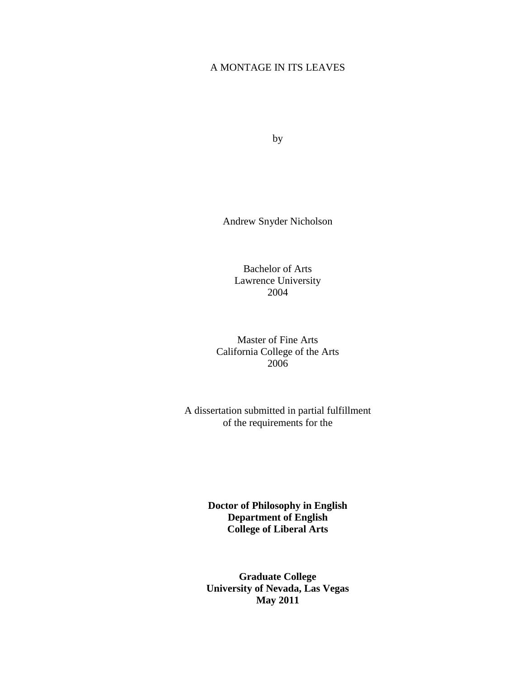# A MONTAGE IN ITS LEAVES

by

Andrew Snyder Nicholson

Bachelor of Arts Lawrence University 2004

Master of Fine Arts California College of the Arts 2006

A dissertation submitted in partial fulfillment of the requirements for the

> **Doctor of Philosophy in English Department of English College of Liberal Arts**

> **Graduate College University of Nevada, Las Vegas May 2011**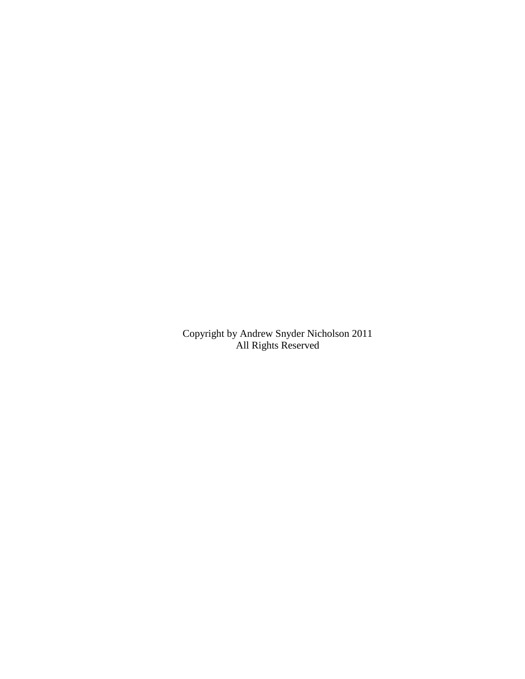Copyright by Andrew Snyder Nicholson 2011 All Rights Reserved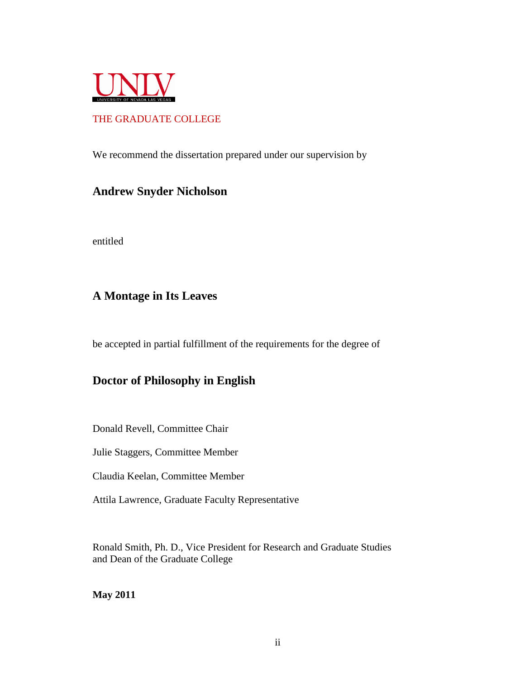

# THE GRADUATE COLLEGE

We recommend the dissertation prepared under our supervision by

# **Andrew Snyder Nicholson**

entitled

# **A Montage in Its Leaves**

be accepted in partial fulfillment of the requirements for the degree of

# **Doctor of Philosophy in English**

Donald Revell, Committee Chair

Julie Staggers, Committee Member

Claudia Keelan, Committee Member

Attila Lawrence, Graduate Faculty Representative

Ronald Smith, Ph. D., Vice President for Research and Graduate Studies and Dean of the Graduate College

**May 2011**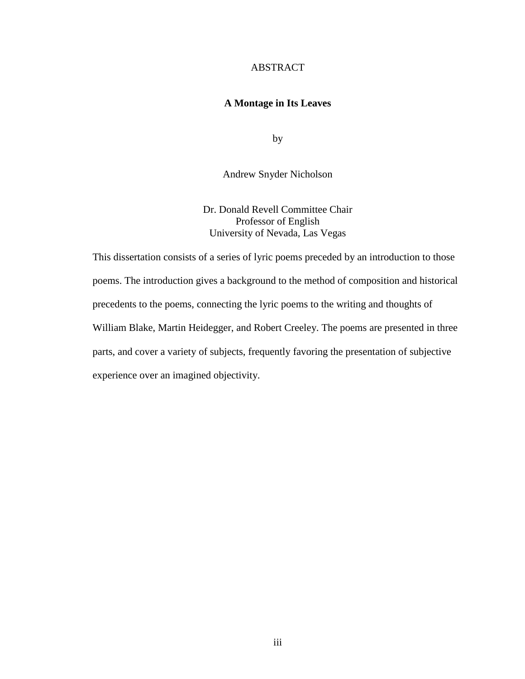#### ABSTRACT

## **A Montage in Its Leaves**

by

Andrew Snyder Nicholson

Dr. Donald Revell Committee Chair Professor of English University of Nevada, Las Vegas

This dissertation consists of a series of lyric poems preceded by an introduction to those poems. The introduction gives a background to the method of composition and historical precedents to the poems, connecting the lyric poems to the writing and thoughts of William Blake, Martin Heidegger, and Robert Creeley. The poems are presented in three parts, and cover a variety of subjects, frequently favoring the presentation of subjective experience over an imagined objectivity.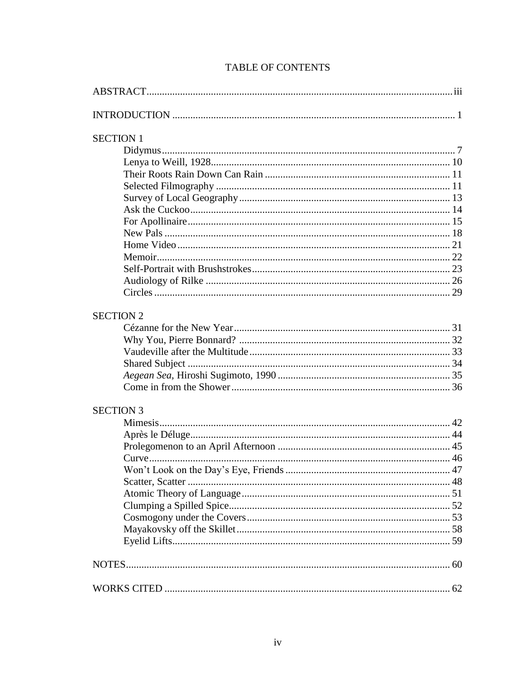| <b>SECTION 1</b> |  |
|------------------|--|
|                  |  |
|                  |  |
|                  |  |
|                  |  |
|                  |  |
|                  |  |
|                  |  |
|                  |  |
|                  |  |
|                  |  |
|                  |  |
|                  |  |
|                  |  |
|                  |  |
| <b>SECTION 2</b> |  |
|                  |  |
|                  |  |
|                  |  |
|                  |  |
|                  |  |
|                  |  |
|                  |  |
| <b>SECTION 3</b> |  |
|                  |  |
|                  |  |
|                  |  |
|                  |  |
|                  |  |
|                  |  |
|                  |  |
|                  |  |
|                  |  |
|                  |  |
|                  |  |
|                  |  |
|                  |  |
|                  |  |
|                  |  |

# **TABLE OF CONTENTS**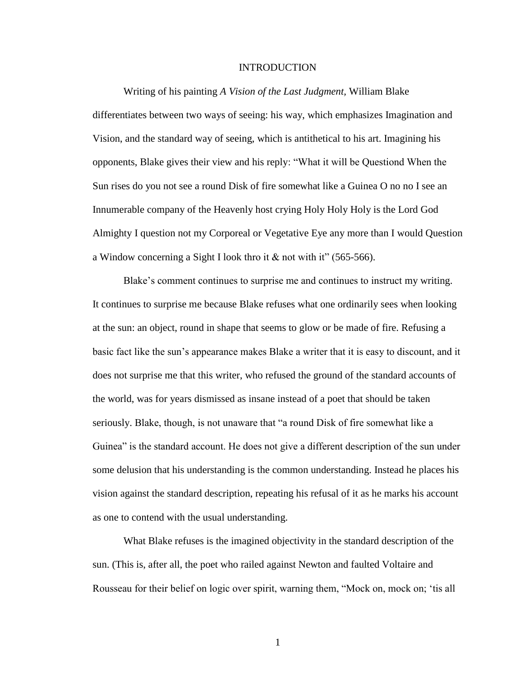#### INTRODUCTION

Writing of his painting *A Vision of the Last Judgment,* William Blake differentiates between two ways of seeing: his way, which emphasizes Imagination and Vision, and the standard way of seeing, which is antithetical to his art. Imagining his opponents, Blake gives their view and his reply: "What it will be Questiond When the Sun rises do you not see a round Disk of fire somewhat like a Guinea O no no I see an Innumerable company of the Heavenly host crying Holy Holy Holy is the Lord God Almighty I question not my Corporeal or Vegetative Eye any more than I would Question a Window concerning a Sight I look thro it & not with it" (565-566).

Blake"s comment continues to surprise me and continues to instruct my writing. It continues to surprise me because Blake refuses what one ordinarily sees when looking at the sun: an object, round in shape that seems to glow or be made of fire. Refusing a basic fact like the sun"s appearance makes Blake a writer that it is easy to discount, and it does not surprise me that this writer, who refused the ground of the standard accounts of the world, was for years dismissed as insane instead of a poet that should be taken seriously. Blake, though, is not unaware that "a round Disk of fire somewhat like a Guinea" is the standard account. He does not give a different description of the sun under some delusion that his understanding is the common understanding. Instead he places his vision against the standard description, repeating his refusal of it as he marks his account as one to contend with the usual understanding.

What Blake refuses is the imagined objectivity in the standard description of the sun. (This is, after all, the poet who railed against Newton and faulted Voltaire and Rousseau for their belief on logic over spirit, warning them, "Mock on, mock on; "tis all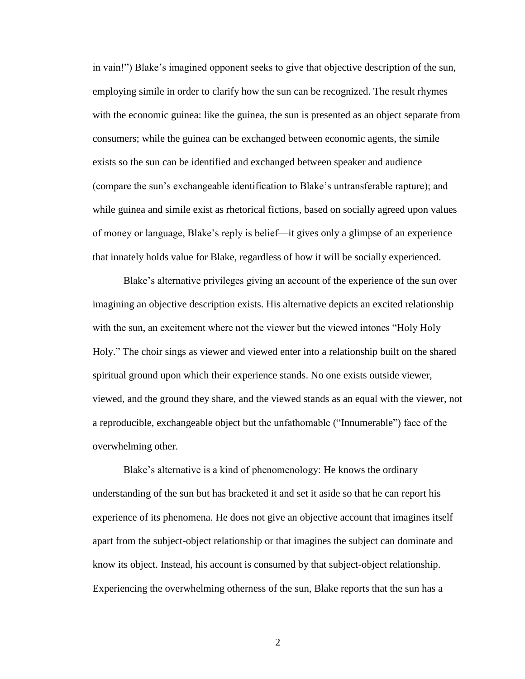in vain!") Blake's imagined opponent seeks to give that objective description of the sun, employing simile in order to clarify how the sun can be recognized. The result rhymes with the economic guinea: like the guinea, the sun is presented as an object separate from consumers; while the guinea can be exchanged between economic agents, the simile exists so the sun can be identified and exchanged between speaker and audience (compare the sun"s exchangeable identification to Blake"s untransferable rapture); and while guinea and simile exist as rhetorical fictions, based on socially agreed upon values of money or language, Blake"s reply is belief—it gives only a glimpse of an experience that innately holds value for Blake, regardless of how it will be socially experienced.

Blake"s alternative privileges giving an account of the experience of the sun over imagining an objective description exists. His alternative depicts an excited relationship with the sun, an excitement where not the viewer but the viewed intones "Holy Holy Holy." The choir sings as viewer and viewed enter into a relationship built on the shared spiritual ground upon which their experience stands. No one exists outside viewer, viewed, and the ground they share, and the viewed stands as an equal with the viewer, not a reproducible, exchangeable object but the unfathomable ("Innumerable") face of the overwhelming other.

Blake's alternative is a kind of phenomenology: He knows the ordinary understanding of the sun but has bracketed it and set it aside so that he can report his experience of its phenomena. He does not give an objective account that imagines itself apart from the subject-object relationship or that imagines the subject can dominate and know its object. Instead, his account is consumed by that subject-object relationship. Experiencing the overwhelming otherness of the sun, Blake reports that the sun has a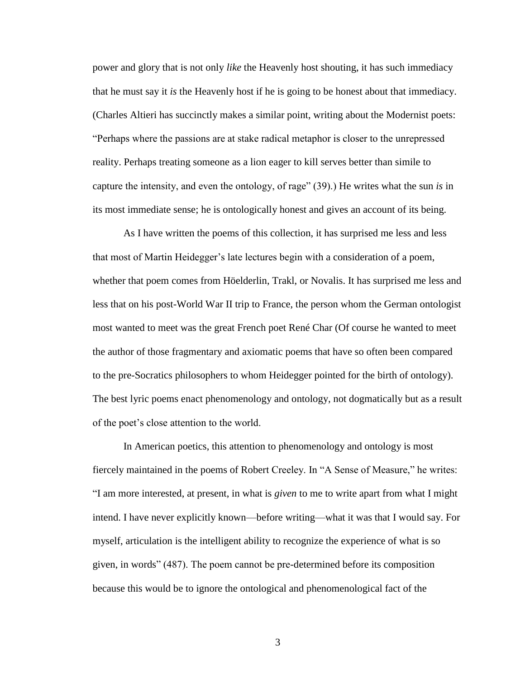power and glory that is not only *like* the Heavenly host shouting, it has such immediacy that he must say it *is* the Heavenly host if he is going to be honest about that immediacy. (Charles Altieri has succinctly makes a similar point, writing about the Modernist poets: "Perhaps where the passions are at stake radical metaphor is closer to the unrepressed reality. Perhaps treating someone as a lion eager to kill serves better than simile to capture the intensity, and even the ontology, of rage" (39).) He writes what the sun *is* in its most immediate sense; he is ontologically honest and gives an account of its being.

As I have written the poems of this collection, it has surprised me less and less that most of Martin Heidegger"s late lectures begin with a consideration of a poem, whether that poem comes from Höelderlin, Trakl, or Novalis. It has surprised me less and less that on his post-World War II trip to France, the person whom the German ontologist most wanted to meet was the great French poet René Char (Of course he wanted to meet the author of those fragmentary and axiomatic poems that have so often been compared to the pre-Socratics philosophers to whom Heidegger pointed for the birth of ontology). The best lyric poems enact phenomenology and ontology, not dogmatically but as a result of the poet"s close attention to the world.

In American poetics, this attention to phenomenology and ontology is most fiercely maintained in the poems of Robert Creeley. In "A Sense of Measure," he writes: "I am more interested, at present, in what is *given* to me to write apart from what I might intend. I have never explicitly known—before writing—what it was that I would say. For myself, articulation is the intelligent ability to recognize the experience of what is so given, in words" (487). The poem cannot be pre-determined before its composition because this would be to ignore the ontological and phenomenological fact of the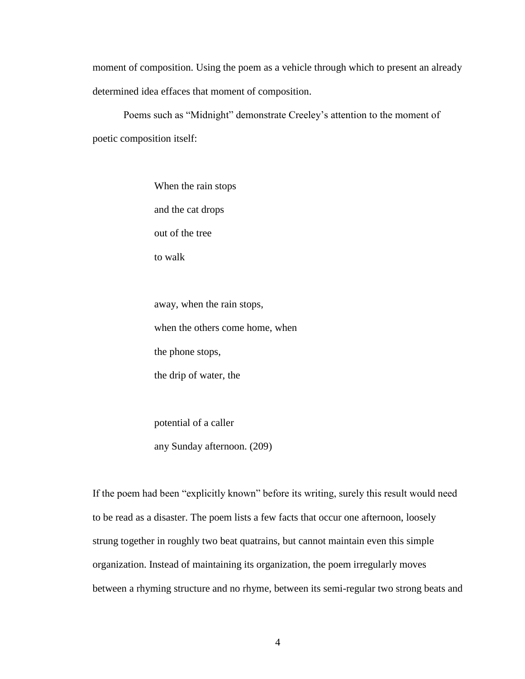moment of composition. Using the poem as a vehicle through which to present an already determined idea effaces that moment of composition.

Poems such as "Midnight" demonstrate Creeley's attention to the moment of poetic composition itself:

> When the rain stops and the cat drops out of the tree to walk

away, when the rain stops, when the others come home, when the phone stops, the drip of water, the

potential of a caller any Sunday afternoon. (209)

If the poem had been "explicitly known" before its writing, surely this result would need to be read as a disaster. The poem lists a few facts that occur one afternoon, loosely strung together in roughly two beat quatrains, but cannot maintain even this simple organization. Instead of maintaining its organization, the poem irregularly moves between a rhyming structure and no rhyme, between its semi-regular two strong beats and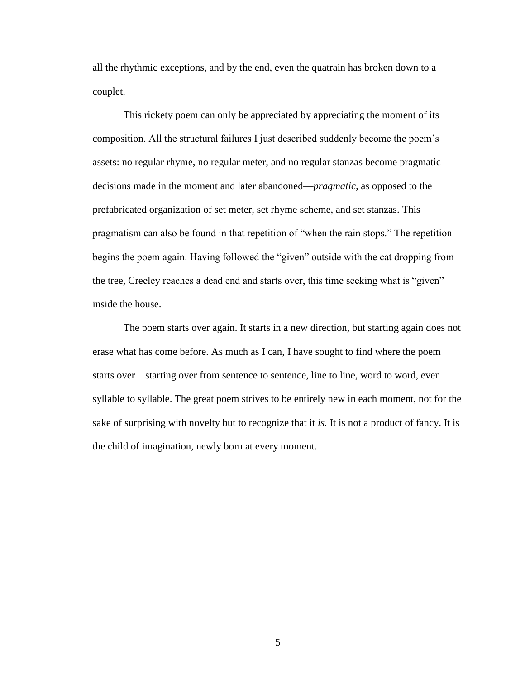all the rhythmic exceptions, and by the end, even the quatrain has broken down to a couplet.

This rickety poem can only be appreciated by appreciating the moment of its composition. All the structural failures I just described suddenly become the poem"s assets: no regular rhyme, no regular meter, and no regular stanzas become pragmatic decisions made in the moment and later abandoned—*pragmatic,* as opposed to the prefabricated organization of set meter, set rhyme scheme, and set stanzas. This pragmatism can also be found in that repetition of "when the rain stops." The repetition begins the poem again. Having followed the "given" outside with the cat dropping from the tree, Creeley reaches a dead end and starts over, this time seeking what is "given" inside the house.

The poem starts over again. It starts in a new direction, but starting again does not erase what has come before. As much as I can, I have sought to find where the poem starts over—starting over from sentence to sentence, line to line, word to word, even syllable to syllable. The great poem strives to be entirely new in each moment, not for the sake of surprising with novelty but to recognize that it *is.* It is not a product of fancy. It is the child of imagination, newly born at every moment.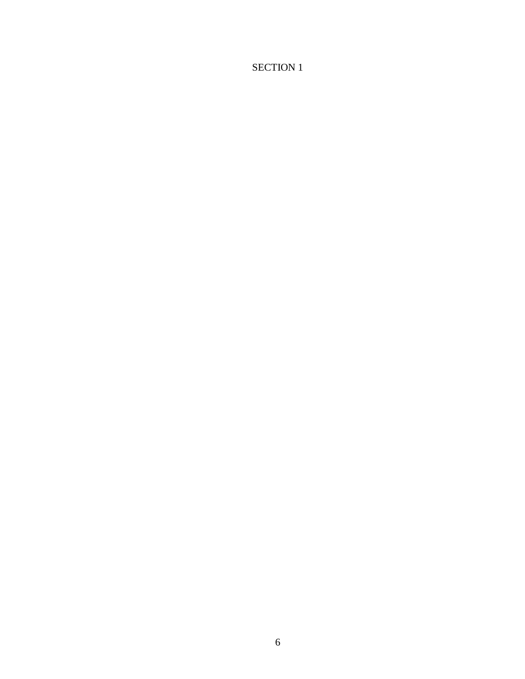# SECTION 1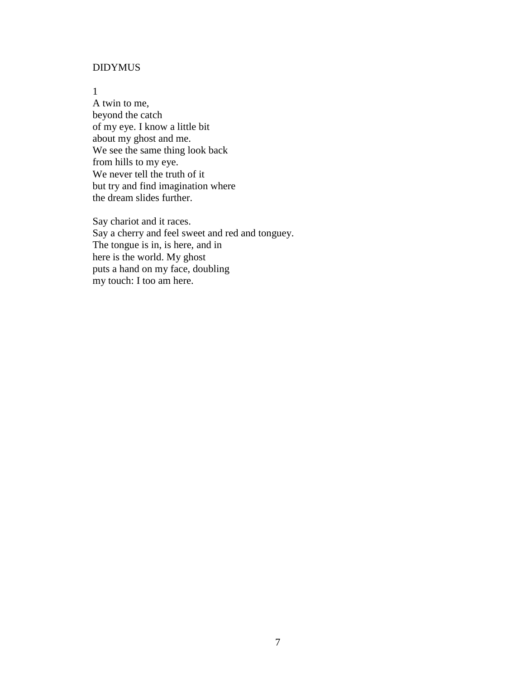# DIDYMUS

1

A twin to me, beyond the catch of my eye. I know a little bit about my ghost and me. We see the same thing look back from hills to my eye. We never tell the truth of it but try and find imagination where the dream slides further.

Say chariot and it races. Say a cherry and feel sweet and red and tonguey. The tongue is in, is here, and in here is the world. My ghost puts a hand on my face, doubling my touch: I too am here.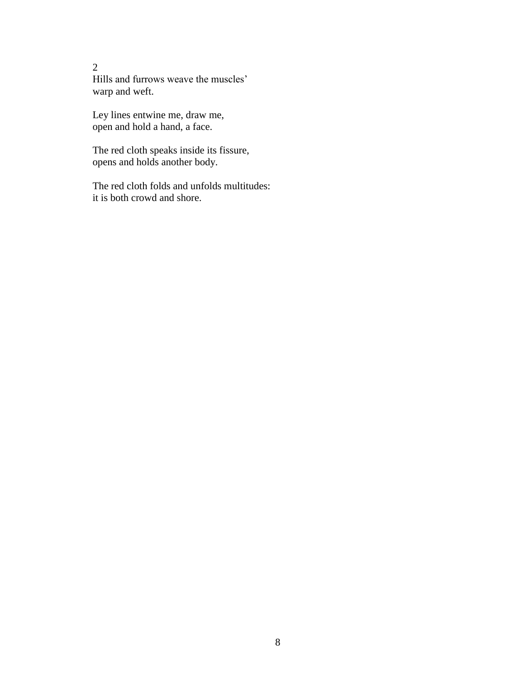Hills and furrows weave the muscles' warp and weft.

Ley lines entwine me, draw me, open and hold a hand, a face.

The red cloth speaks inside its fissure, opens and holds another body.

The red cloth folds and unfolds multitudes: it is both crowd and shore.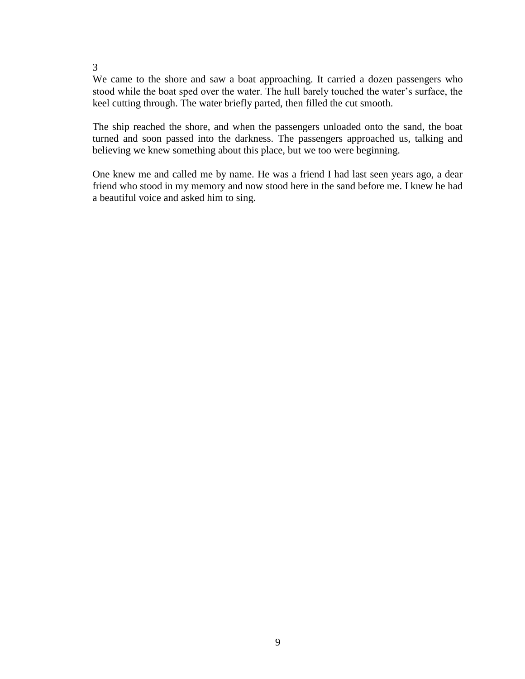We came to the shore and saw a boat approaching. It carried a dozen passengers who stood while the boat sped over the water. The hull barely touched the water"s surface, the keel cutting through. The water briefly parted, then filled the cut smooth.

The ship reached the shore, and when the passengers unloaded onto the sand, the boat turned and soon passed into the darkness. The passengers approached us, talking and believing we knew something about this place, but we too were beginning.

One knew me and called me by name. He was a friend I had last seen years ago, a dear friend who stood in my memory and now stood here in the sand before me. I knew he had a beautiful voice and asked him to sing.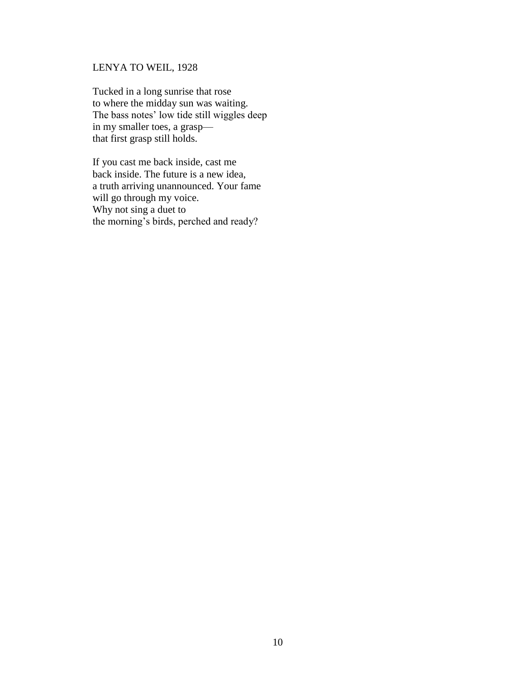# LENYA TO WEIL, 1928

Tucked in a long sunrise that rose to where the midday sun was waiting. The bass notes' low tide still wiggles deep in my smaller toes, a grasp that first grasp still holds.

If you cast me back inside, cast me back inside. The future is a new idea, a truth arriving unannounced. Your fame will go through my voice. Why not sing a duet to the morning"s birds, perched and ready?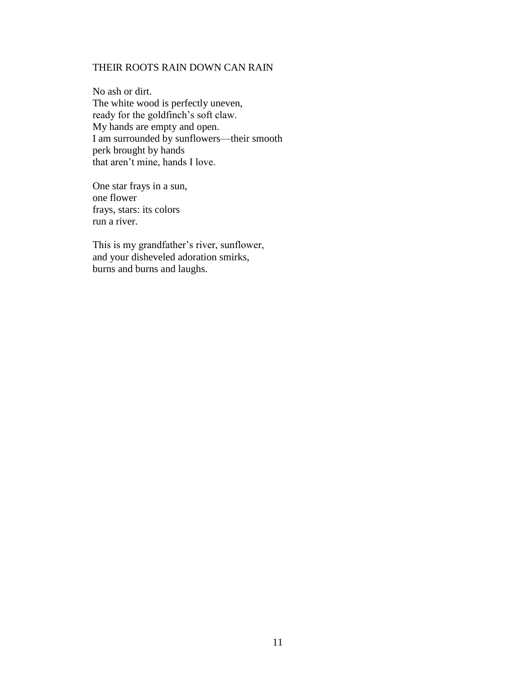## THEIR ROOTS RAIN DOWN CAN RAIN

No ash or dirt. The white wood is perfectly uneven, ready for the goldfinch's soft claw. My hands are empty and open. I am surrounded by sunflowers—their smooth perk brought by hands that aren"t mine, hands I love.

One star frays in a sun, one flower frays, stars: its colors run a river.

This is my grandfather's river, sunflower, and your disheveled adoration smirks, burns and burns and laughs.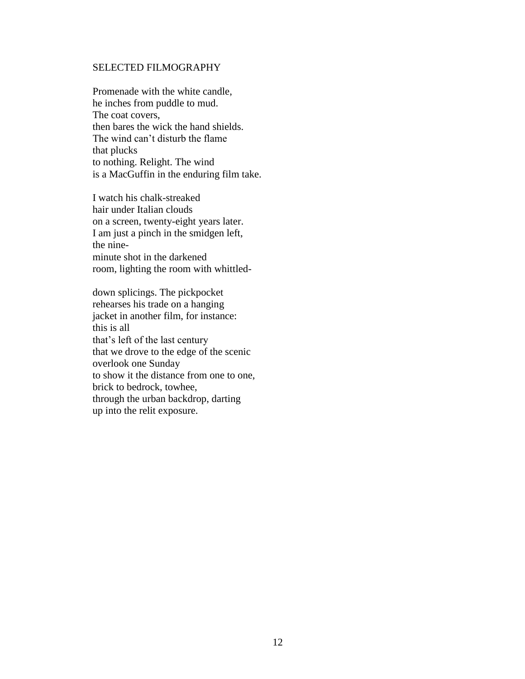#### SELECTED FILMOGRAPHY

Promenade with the white candle, he inches from puddle to mud. The coat covers, then bares the wick the hand shields. The wind can"t disturb the flame that plucks to nothing. Relight. The wind is a MacGuffin in the enduring film take.

I watch his chalk-streaked hair under Italian clouds on a screen, twenty-eight years later. I am just a pinch in the smidgen left, the nineminute shot in the darkened room, lighting the room with whittled-

down splicings. The pickpocket rehearses his trade on a hanging jacket in another film, for instance: this is all that"s left of the last century that we drove to the edge of the scenic overlook one Sunday to show it the distance from one to one, brick to bedrock, towhee, through the urban backdrop, darting up into the relit exposure.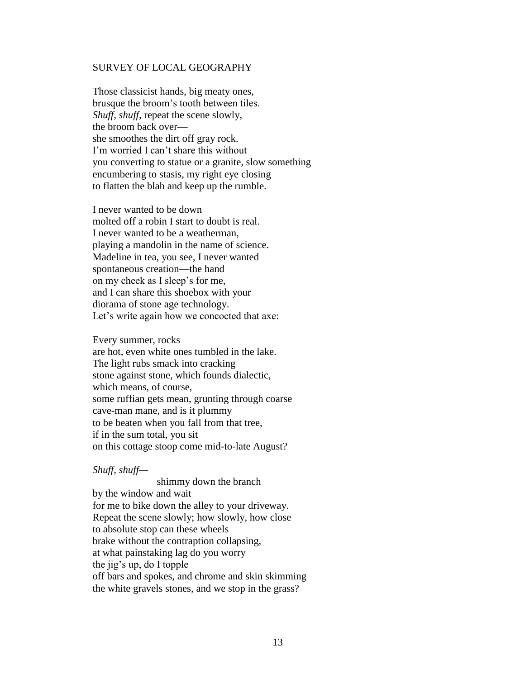#### SURVEY OF LOCAL GEOGRAPHY

Those classicist hands, big meaty ones, brusque the broom"s tooth between tiles. *Shuff, shuff,* repeat the scene slowly, the broom back over she smoothes the dirt off gray rock. I'm worried I can't share this without you converting to statue or a granite, slow something encumbering to stasis, my right eye closing to flatten the blah and keep up the rumble.

I never wanted to be down molted off a robin I start to doubt is real. I never wanted to be a weatherman, playing a mandolin in the name of science. Madeline in tea, you see, I never wanted spontaneous creation—the hand on my cheek as I sleep"s for me, and I can share this shoebox with your diorama of stone age technology. Let's write again how we concocted that axe:

Every summer, rocks

are hot, even white ones tumbled in the lake. The light rubs smack into cracking stone against stone, which founds dialectic, which means, of course, some ruffian gets mean, grunting through coarse cave-man mane, and is it plummy to be beaten when you fall from that tree, if in the sum total, you sit on this cottage stoop come mid-to-late August?

#### *Shuff, shuff—*

 shimmy down the branch by the window and wait for me to bike down the alley to your driveway. Repeat the scene slowly; how slowly, how close to absolute stop can these wheels brake without the contraption collapsing, at what painstaking lag do you worry the jig"s up, do I topple off bars and spokes, and chrome and skin skimming the white gravels stones, and we stop in the grass?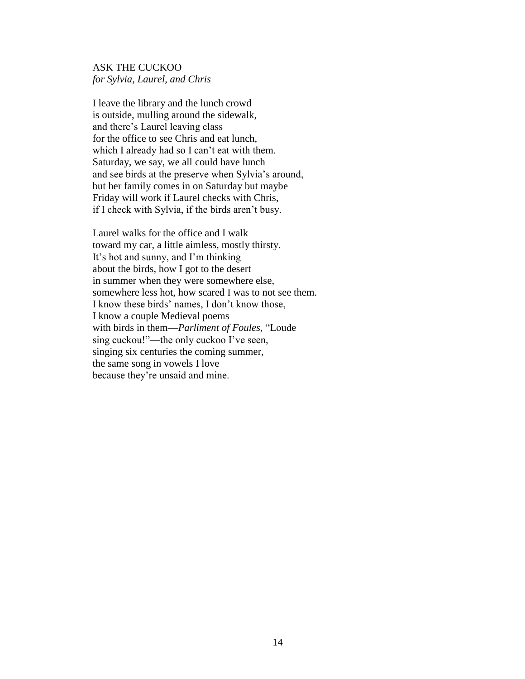# ASK THE CUCKOO *for Sylvia, Laurel, and Chris*

I leave the library and the lunch crowd is outside, mulling around the sidewalk, and there"s Laurel leaving class for the office to see Chris and eat lunch, which I already had so I can't eat with them. Saturday, we say, we all could have lunch and see birds at the preserve when Sylvia"s around, but her family comes in on Saturday but maybe Friday will work if Laurel checks with Chris, if I check with Sylvia, if the birds aren"t busy.

Laurel walks for the office and I walk toward my car, a little aimless, mostly thirsty. It"s hot and sunny, and I"m thinking about the birds, how I got to the desert in summer when they were somewhere else, somewhere less hot, how scared I was to not see them. I know these birds" names, I don"t know those, I know a couple Medieval poems with birds in them—*Parliment of Foules,* "Loude sing cuckou!"—the only cuckoo I've seen, singing six centuries the coming summer, the same song in vowels I love because they"re unsaid and mine.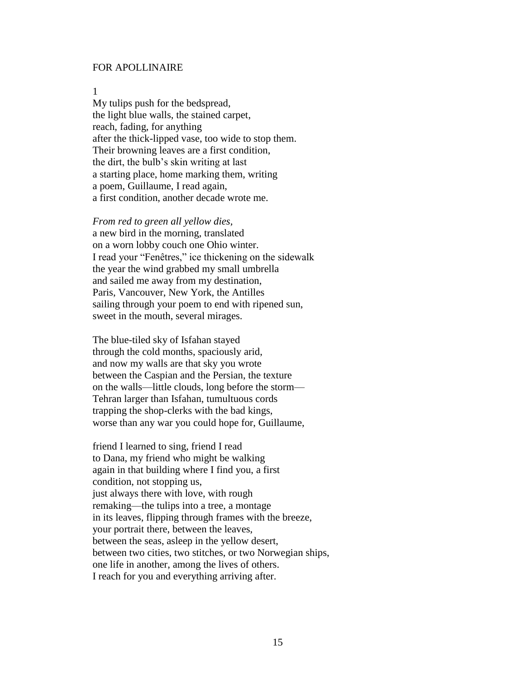#### FOR APOLLINAIRE

1

My tulips push for the bedspread, the light blue walls, the stained carpet, reach, fading, for anything after the thick-lipped vase, too wide to stop them. Their browning leaves are a first condition, the dirt, the bulb"s skin writing at last a starting place, home marking them, writing a poem, Guillaume, I read again, a first condition, another decade wrote me.

*From red to green all yellow dies,* a new bird in the morning, translated on a worn lobby couch one Ohio winter. I read your "Fenêtres," ice thickening on the sidewalk the year the wind grabbed my small umbrella and sailed me away from my destination, Paris, Vancouver, New York, the Antilles sailing through your poem to end with ripened sun, sweet in the mouth, several mirages.

The blue-tiled sky of Isfahan stayed through the cold months, spaciously arid, and now my walls are that sky you wrote between the Caspian and the Persian, the texture on the walls—little clouds, long before the storm— Tehran larger than Isfahan, tumultuous cords trapping the shop-clerks with the bad kings, worse than any war you could hope for, Guillaume,

friend I learned to sing, friend I read to Dana, my friend who might be walking again in that building where I find you, a first condition, not stopping us, just always there with love, with rough remaking—the tulips into a tree, a montage in its leaves, flipping through frames with the breeze, your portrait there, between the leaves, between the seas, asleep in the yellow desert, between two cities, two stitches, or two Norwegian ships, one life in another, among the lives of others. I reach for you and everything arriving after.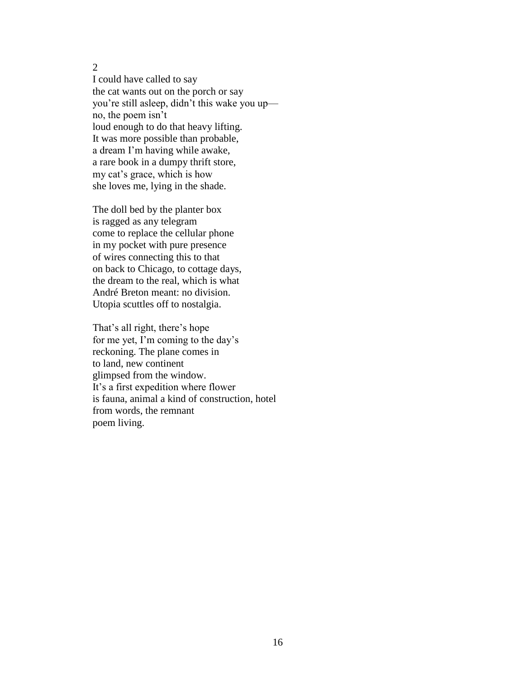I could have called to say the cat wants out on the porch or say you"re still asleep, didn"t this wake you up no, the poem isn"t loud enough to do that heavy lifting. It was more possible than probable, a dream I"m having while awake, a rare book in a dumpy thrift store, my cat"s grace, which is how she loves me, lying in the shade.

The doll bed by the planter box is ragged as any telegram come to replace the cellular phone in my pocket with pure presence of wires connecting this to that on back to Chicago, to cottage days, the dream to the real, which is what André Breton meant: no division. Utopia scuttles off to nostalgia.

That's all right, there's hope for me yet, I'm coming to the day's reckoning. The plane comes in to land, new continent glimpsed from the window. It's a first expedition where flower is fauna, animal a kind of construction, hotel from words, the remnant poem living.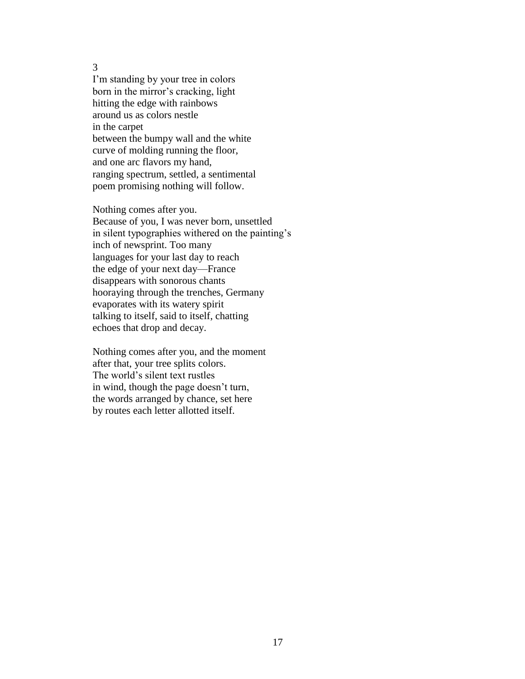I'm standing by your tree in colors born in the mirror's cracking, light hitting the edge with rainbows around us as colors nestle in the carpet between the bumpy wall and the white curve of molding running the floor, and one arc flavors my hand, ranging spectrum, settled, a sentimental poem promising nothing will follow.

Nothing comes after you. Because of you, I was never born, unsettled in silent typographies withered on the painting"s inch of newsprint. Too many languages for your last day to reach the edge of your next day—France disappears with sonorous chants hooraying through the trenches, Germany evaporates with its watery spirit talking to itself, said to itself, chatting echoes that drop and decay.

Nothing comes after you, and the moment after that, your tree splits colors. The world"s silent text rustles in wind, though the page doesn"t turn, the words arranged by chance, set here by routes each letter allotted itself.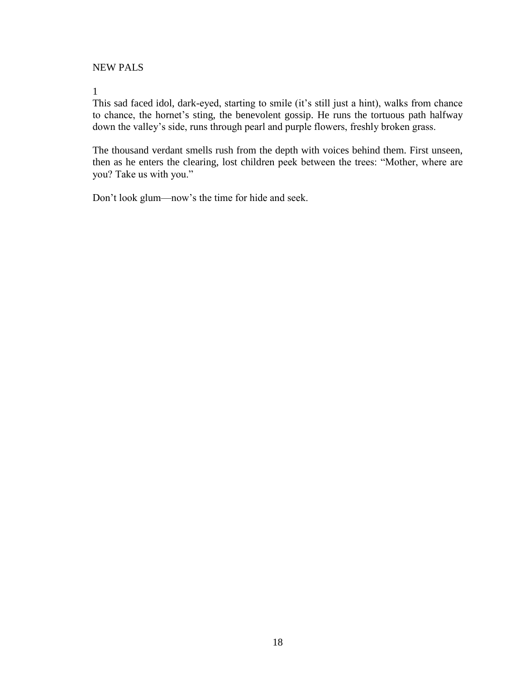NEW PALS

1

This sad faced idol, dark-eyed, starting to smile (it's still just a hint), walks from chance to chance, the hornet's sting, the benevolent gossip. He runs the tortuous path halfway down the valley"s side, runs through pearl and purple flowers, freshly broken grass.

The thousand verdant smells rush from the depth with voices behind them. First unseen, then as he enters the clearing, lost children peek between the trees: "Mother, where are you? Take us with you."

Don"t look glum—now"s the time for hide and seek.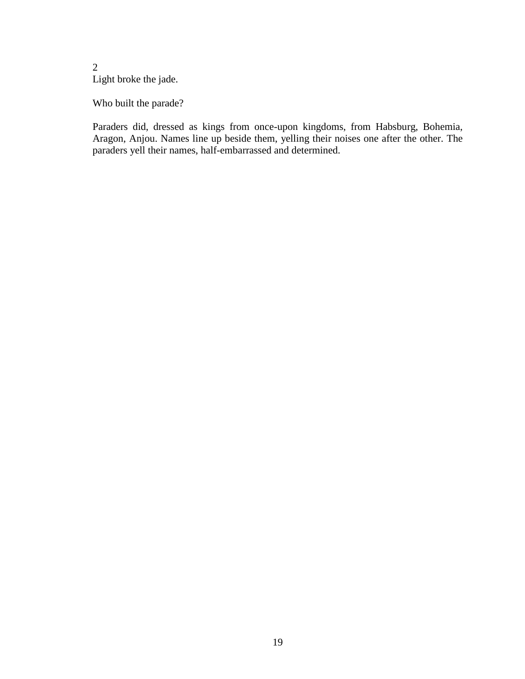# 2 Light broke the jade.

Who built the parade?

Paraders did, dressed as kings from once-upon kingdoms, from Habsburg, Bohemia, Aragon, Anjou. Names line up beside them, yelling their noises one after the other. The paraders yell their names, half-embarrassed and determined.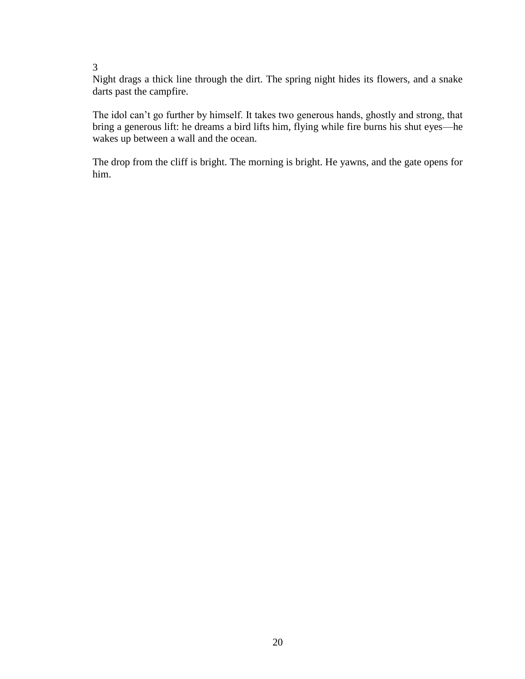Night drags a thick line through the dirt. The spring night hides its flowers, and a snake darts past the campfire.

The idol can"t go further by himself. It takes two generous hands, ghostly and strong, that bring a generous lift: he dreams a bird lifts him, flying while fire burns his shut eyes—he wakes up between a wall and the ocean.

The drop from the cliff is bright. The morning is bright. He yawns, and the gate opens for him.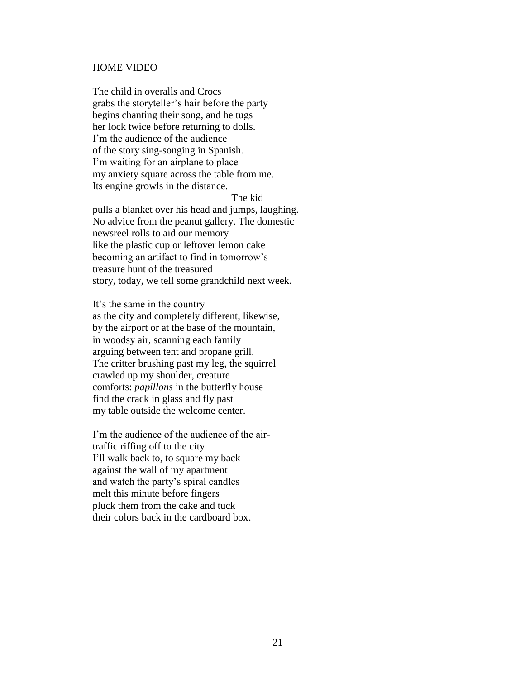#### HOME VIDEO

The child in overalls and Crocs grabs the storyteller"s hair before the party begins chanting their song, and he tugs her lock twice before returning to dolls. I"m the audience of the audience of the story sing-songing in Spanish. I'm waiting for an airplane to place my anxiety square across the table from me. Its engine growls in the distance.

The kid

pulls a blanket over his head and jumps, laughing. No advice from the peanut gallery. The domestic newsreel rolls to aid our memory like the plastic cup or leftover lemon cake becoming an artifact to find in tomorrow"s treasure hunt of the treasured story, today, we tell some grandchild next week.

It"s the same in the country as the city and completely different, likewise, by the airport or at the base of the mountain, in woodsy air, scanning each family arguing between tent and propane grill. The critter brushing past my leg, the squirrel crawled up my shoulder, creature comforts: *papillons* in the butterfly house find the crack in glass and fly past my table outside the welcome center.

I'm the audience of the audience of the airtraffic riffing off to the city I"ll walk back to, to square my back against the wall of my apartment and watch the party"s spiral candles melt this minute before fingers pluck them from the cake and tuck their colors back in the cardboard box.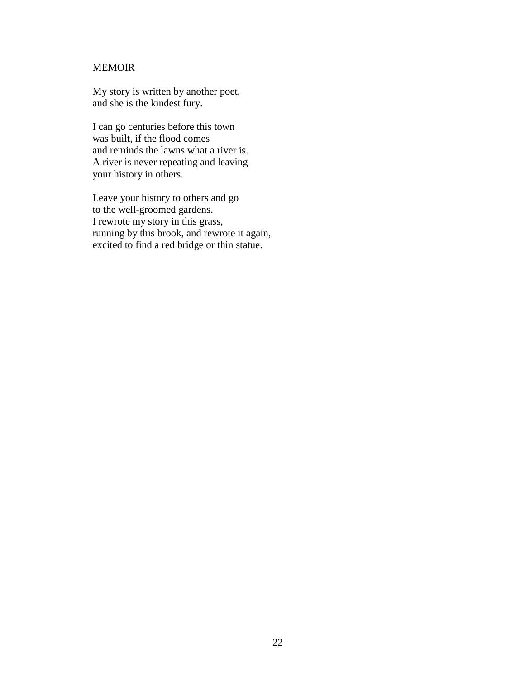# MEMOIR

My story is written by another poet, and she is the kindest fury.

I can go centuries before this town was built, if the flood comes and reminds the lawns what a river is. A river is never repeating and leaving your history in others.

Leave your history to others and go to the well-groomed gardens. I rewrote my story in this grass, running by this brook, and rewrote it again, excited to find a red bridge or thin statue.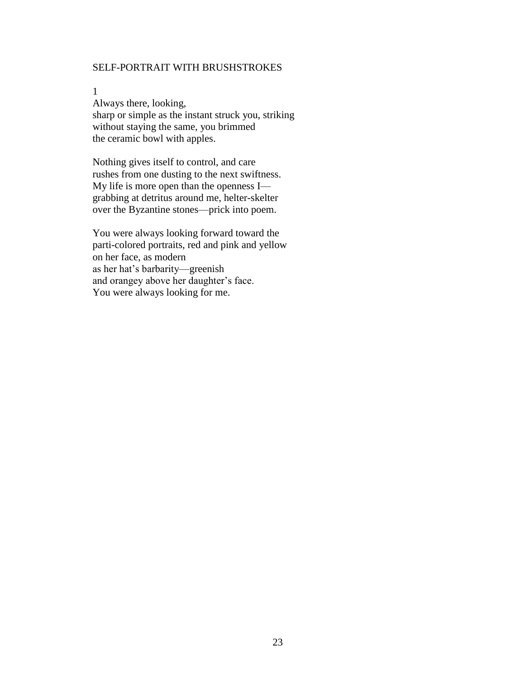# SELF-PORTRAIT WITH BRUSHSTROKES

1

Always there, looking, sharp or simple as the instant struck you, striking without staying the same, you brimmed the ceramic bowl with apples.

Nothing gives itself to control, and care rushes from one dusting to the next swiftness. My life is more open than the openness I grabbing at detritus around me, helter-skelter over the Byzantine stones—prick into poem.

You were always looking forward toward the parti-colored portraits, red and pink and yellow on her face, as modern as her hat"s barbarity—greenish and orangey above her daughter"s face. You were always looking for me.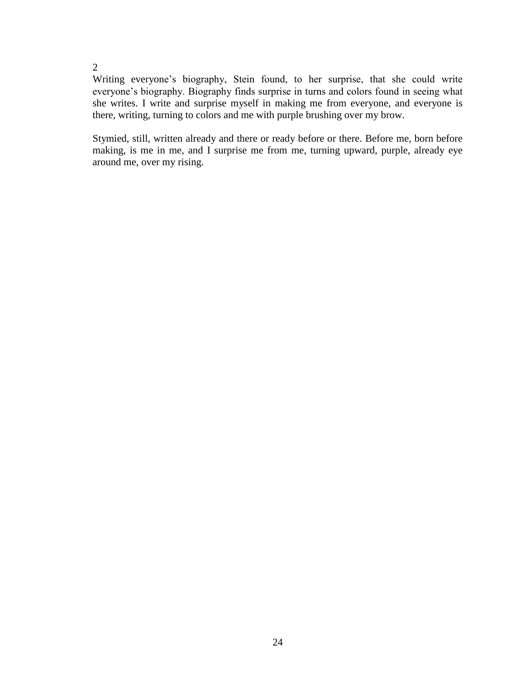Writing everyone"s biography, Stein found, to her surprise, that she could write everyone's biography. Biography finds surprise in turns and colors found in seeing what she writes. I write and surprise myself in making me from everyone, and everyone is there, writing, turning to colors and me with purple brushing over my brow.

Stymied, still, written already and there or ready before or there. Before me, born before making, is me in me, and I surprise me from me, turning upward, purple, already eye around me, over my rising.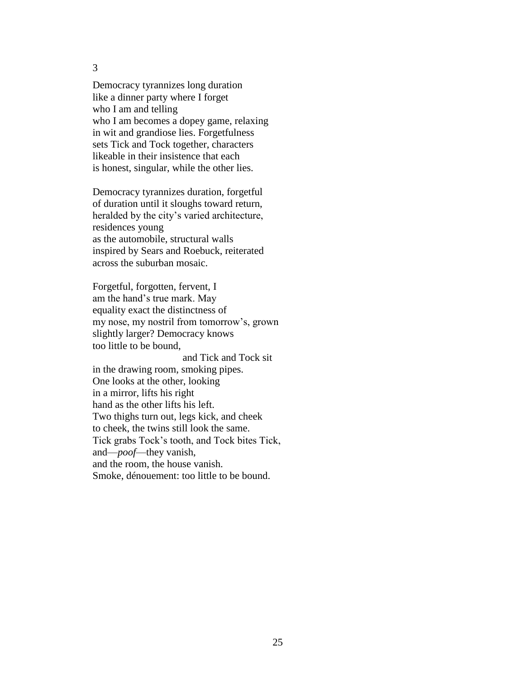Democracy tyrannizes long duration like a dinner party where I forget who I am and telling who I am becomes a dopey game, relaxing in wit and grandiose lies. Forgetfulness sets Tick and Tock together, characters likeable in their insistence that each is honest, singular, while the other lies.

Democracy tyrannizes duration, forgetful of duration until it sloughs toward return, heralded by the city"s varied architecture, residences young as the automobile, structural walls inspired by Sears and Roebuck, reiterated across the suburban mosaic.

Forgetful, forgotten, fervent, I am the hand"s true mark. May equality exact the distinctness of my nose, my nostril from tomorrow"s, grown slightly larger? Democracy knows too little to be bound,

 and Tick and Tock sit in the drawing room, smoking pipes. One looks at the other, looking in a mirror, lifts his right hand as the other lifts his left. Two thighs turn out, legs kick, and cheek to cheek, the twins still look the same. Tick grabs Tock"s tooth, and Tock bites Tick, and—*poof*—they vanish, and the room, the house vanish. Smoke, dénouement: too little to be bound.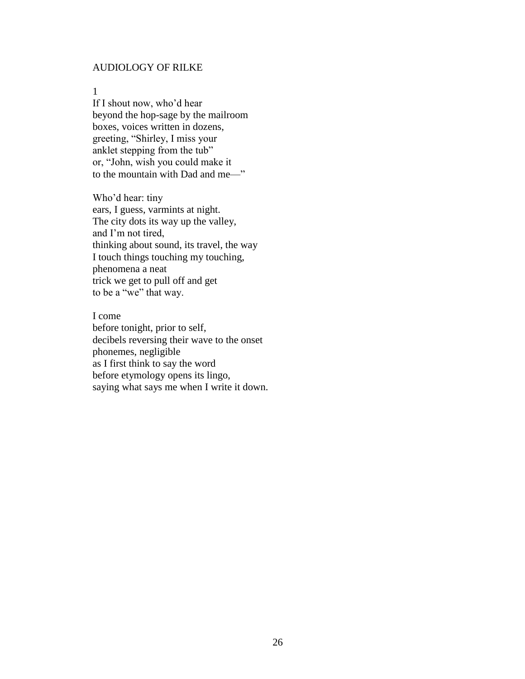# AUDIOLOGY OF RILKE

1

If I shout now, who"d hear beyond the hop-sage by the mailroom boxes, voices written in dozens, greeting, "Shirley, I miss your anklet stepping from the tub" or, "John, wish you could make it to the mountain with Dad and me—"

Who"d hear: tiny ears, I guess, varmints at night. The city dots its way up the valley, and I"m not tired, thinking about sound, its travel, the way I touch things touching my touching, phenomena a neat trick we get to pull off and get to be a "we" that way.

I come before tonight, prior to self, decibels reversing their wave to the onset phonemes, negligible as I first think to say the word before etymology opens its lingo, saying what says me when I write it down.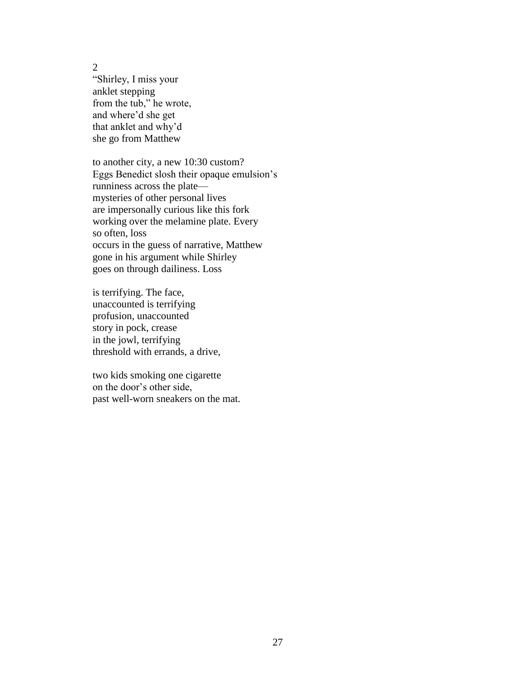"Shirley, I miss your anklet stepping from the tub," he wrote, and where"d she get that anklet and why"d she go from Matthew

to another city, a new 10:30 custom? Eggs Benedict slosh their opaque emulsion"s runniness across the plate mysteries of other personal lives are impersonally curious like this fork working over the melamine plate. Every so often, loss occurs in the guess of narrative, Matthew gone in his argument while Shirley goes on through dailiness. Loss

is terrifying. The face, unaccounted is terrifying profusion, unaccounted story in pock, crease in the jowl, terrifying threshold with errands, a drive,

two kids smoking one cigarette on the door"s other side, past well-worn sneakers on the mat.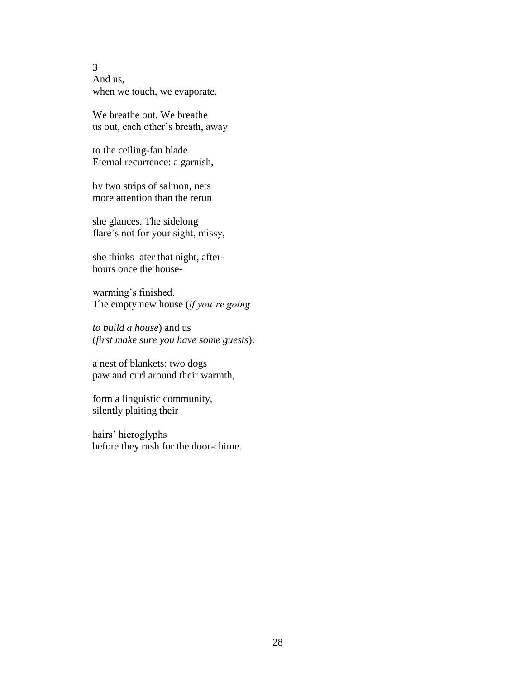3 And us, when we touch, we evaporate.

We breathe out. We breathe us out, each other"s breath, away

to the ceiling-fan blade. Eternal recurrence: a garnish,

by two strips of salmon, nets more attention than the rerun

she glances. The sidelong flare's not for your sight, missy,

she thinks later that night, afterhours once the house-

warming's finished. The empty new house (*if you're going*

*to build a house*) and us (*first make sure you have some guests*):

a nest of blankets: two dogs paw and curl around their warmth,

form a linguistic community, silently plaiting their

hairs" hieroglyphs before they rush for the door-chime.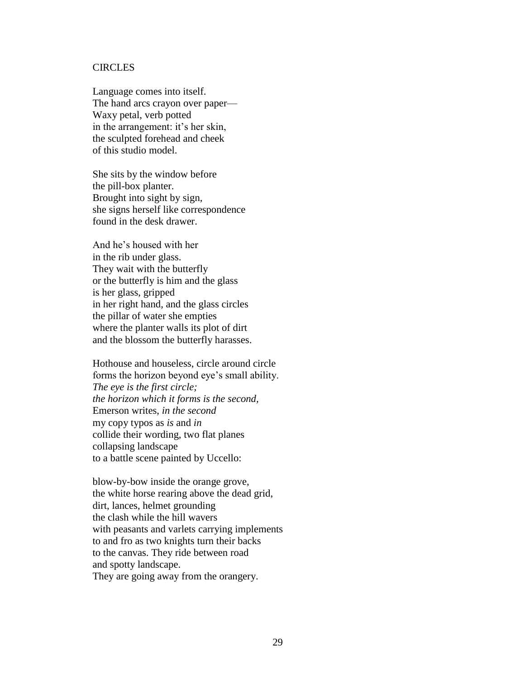#### **CIRCLES**

Language comes into itself. The hand arcs crayon over paper— Waxy petal, verb potted in the arrangement: it's her skin, the sculpted forehead and cheek of this studio model.

She sits by the window before the pill-box planter. Brought into sight by sign, she signs herself like correspondence found in the desk drawer.

And he"s housed with her in the rib under glass. They wait with the butterfly or the butterfly is him and the glass is her glass, gripped in her right hand, and the glass circles the pillar of water she empties where the planter walls its plot of dirt and the blossom the butterfly harasses.

Hothouse and houseless, circle around circle forms the horizon beyond eye"s small ability. *The eye is the first circle; the horizon which it forms is the second,* Emerson writes, *in the second* my copy typos as *is* and *in* collide their wording, two flat planes collapsing landscape to a battle scene painted by Uccello:

blow-by-bow inside the orange grove, the white horse rearing above the dead grid, dirt, lances, helmet grounding the clash while the hill wavers with peasants and varlets carrying implements to and fro as two knights turn their backs to the canvas. They ride between road and spotty landscape. They are going away from the orangery.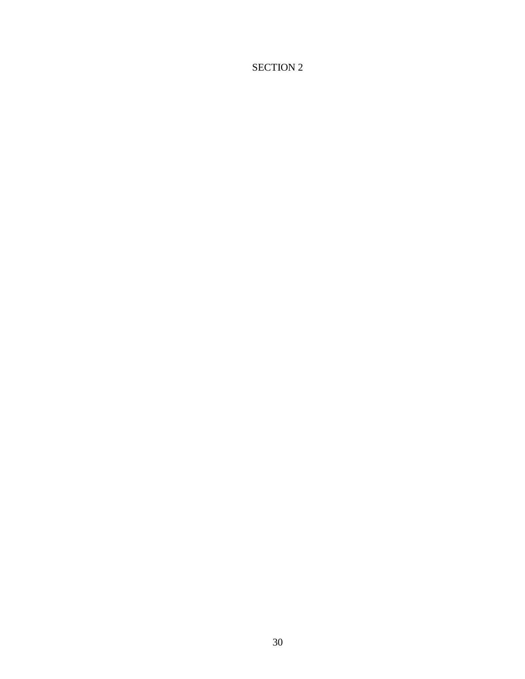# SECTION 2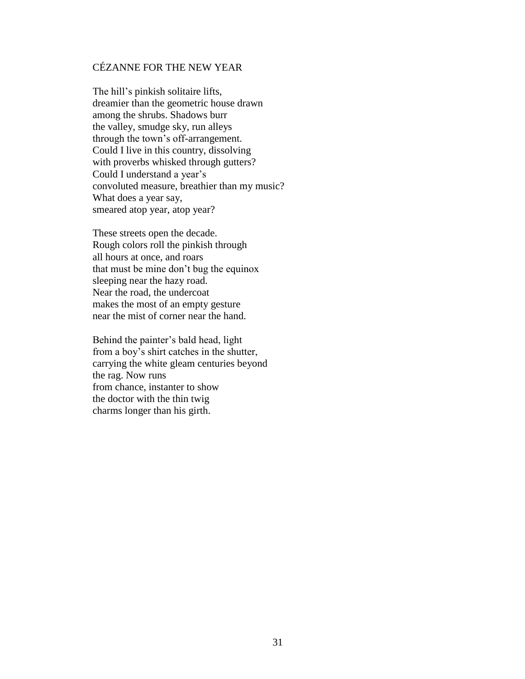# CÉZANNE FOR THE NEW YEAR

The hill"s pinkish solitaire lifts, dreamier than the geometric house drawn among the shrubs. Shadows burr the valley, smudge sky, run alleys through the town"s off-arrangement. Could I live in this country, dissolving with proverbs whisked through gutters? Could I understand a year"s convoluted measure, breathier than my music? What does a year say, smeared atop year, atop year?

These streets open the decade. Rough colors roll the pinkish through all hours at once, and roars that must be mine don"t bug the equinox sleeping near the hazy road. Near the road, the undercoat makes the most of an empty gesture near the mist of corner near the hand.

Behind the painter"s bald head, light from a boy"s shirt catches in the shutter, carrying the white gleam centuries beyond the rag. Now runs from chance, instanter to show the doctor with the thin twig charms longer than his girth.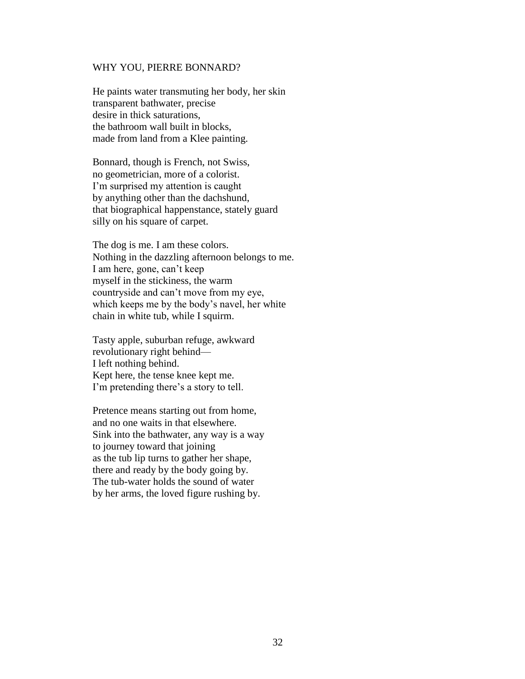#### WHY YOU, PIERRE BONNARD?

He paints water transmuting her body, her skin transparent bathwater, precise desire in thick saturations, the bathroom wall built in blocks, made from land from a Klee painting.

Bonnard, though is French, not Swiss, no geometrician, more of a colorist. I'm surprised my attention is caught by anything other than the dachshund, that biographical happenstance, stately guard silly on his square of carpet.

The dog is me. I am these colors. Nothing in the dazzling afternoon belongs to me. I am here, gone, can"t keep myself in the stickiness, the warm countryside and can"t move from my eye, which keeps me by the body"s navel, her white chain in white tub, while I squirm.

Tasty apple, suburban refuge, awkward revolutionary right behind— I left nothing behind. Kept here, the tense knee kept me. I'm pretending there's a story to tell.

Pretence means starting out from home, and no one waits in that elsewhere. Sink into the bathwater, any way is a way to journey toward that joining as the tub lip turns to gather her shape, there and ready by the body going by. The tub-water holds the sound of water by her arms, the loved figure rushing by.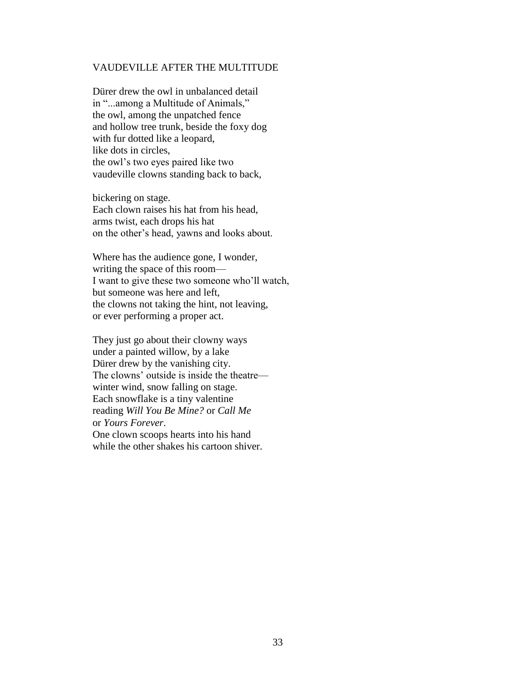## VAUDEVILLE AFTER THE MULTITUDE

Dürer drew the owl in unbalanced detail in "...among a Multitude of Animals," the owl, among the unpatched fence and hollow tree trunk, beside the foxy dog with fur dotted like a leopard, like dots in circles, the owl"s two eyes paired like two vaudeville clowns standing back to back,

bickering on stage. Each clown raises his hat from his head, arms twist, each drops his hat on the other"s head, yawns and looks about.

Where has the audience gone, I wonder, writing the space of this room— I want to give these two someone who"ll watch, but someone was here and left, the clowns not taking the hint, not leaving, or ever performing a proper act.

They just go about their clowny ways under a painted willow, by a lake Dürer drew by the vanishing city. The clowns" outside is inside the theatre winter wind, snow falling on stage. Each snowflake is a tiny valentine reading *Will You Be Mine?* or *Call Me* or *Yours Forever*.

One clown scoops hearts into his hand while the other shakes his cartoon shiver.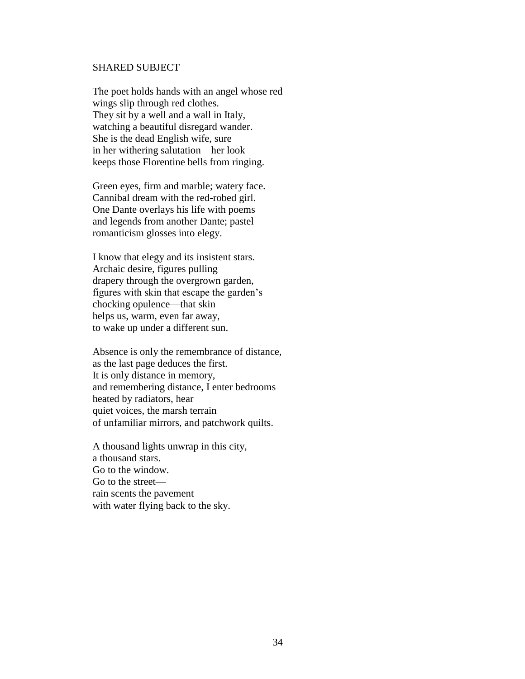#### SHARED SUBJECT

The poet holds hands with an angel whose red wings slip through red clothes. They sit by a well and a wall in Italy, watching a beautiful disregard wander. She is the dead English wife, sure in her withering salutation—her look keeps those Florentine bells from ringing.

Green eyes, firm and marble; watery face. Cannibal dream with the red-robed girl. One Dante overlays his life with poems and legends from another Dante; pastel romanticism glosses into elegy.

I know that elegy and its insistent stars. Archaic desire, figures pulling drapery through the overgrown garden, figures with skin that escape the garden"s chocking opulence—that skin helps us, warm, even far away, to wake up under a different sun.

Absence is only the remembrance of distance, as the last page deduces the first. It is only distance in memory, and remembering distance, I enter bedrooms heated by radiators, hear quiet voices, the marsh terrain of unfamiliar mirrors, and patchwork quilts.

A thousand lights unwrap in this city, a thousand stars. Go to the window. Go to the street rain scents the pavement with water flying back to the sky.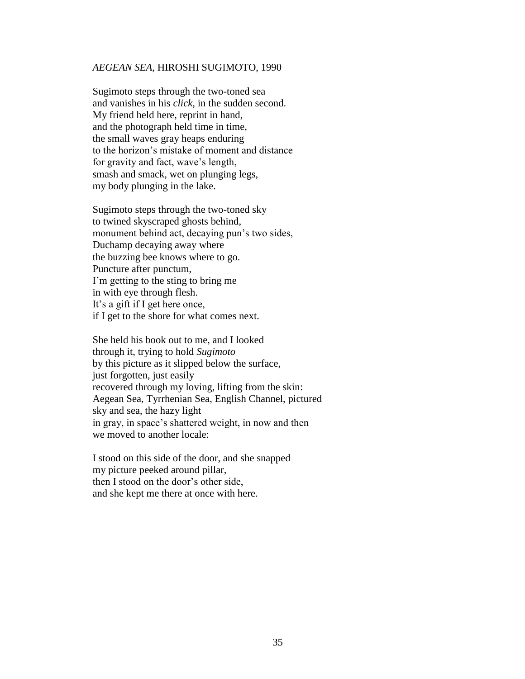#### *AEGEAN SEA,* HIROSHI SUGIMOTO, 1990

Sugimoto steps through the two-toned sea and vanishes in his *click*, in the sudden second. My friend held here, reprint in hand, and the photograph held time in time, the small waves gray heaps enduring to the horizon"s mistake of moment and distance for gravity and fact, wave"s length, smash and smack, wet on plunging legs, my body plunging in the lake.

Sugimoto steps through the two-toned sky to twined skyscraped ghosts behind, monument behind act, decaying pun's two sides, Duchamp decaying away where the buzzing bee knows where to go. Puncture after punctum, I"m getting to the sting to bring me in with eye through flesh. It"s a gift if I get here once, if I get to the shore for what comes next.

She held his book out to me, and I looked through it, trying to hold *Sugimoto* by this picture as it slipped below the surface, just forgotten, just easily recovered through my loving, lifting from the skin: Aegean Sea, Tyrrhenian Sea, English Channel, pictured sky and sea, the hazy light in gray, in space"s shattered weight, in now and then we moved to another locale:

I stood on this side of the door, and she snapped my picture peeked around pillar, then I stood on the door"s other side, and she kept me there at once with here.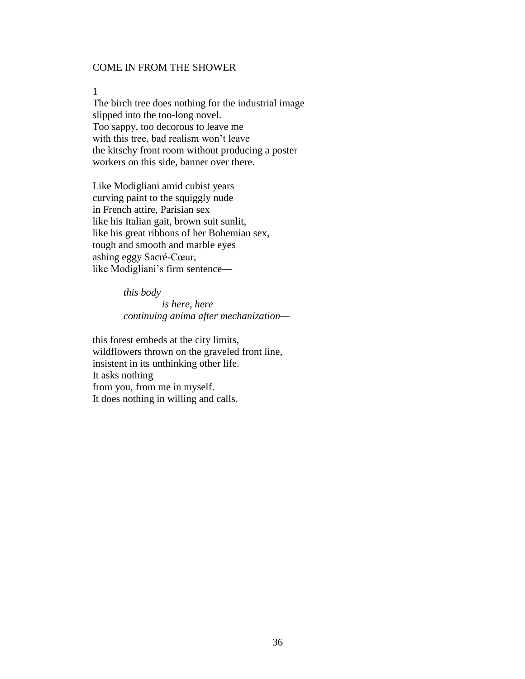# COME IN FROM THE SHOWER

#### 1

The birch tree does nothing for the industrial image slipped into the too-long novel. Too sappy, too decorous to leave me with this tree, bad realism won"t leave the kitschy front room without producing a poster workers on this side, banner over there.

Like Modigliani amid cubist years curving paint to the squiggly nude in French attire, Parisian sex like his Italian gait, brown suit sunlit, like his great ribbons of her Bohemian sex, tough and smooth and marble eyes ashing eggy Sacré-Cœur, like Modigliani's firm sentence—

> *this body is here, here continuing anima after mechanization—*

this forest embeds at the city limits, wildflowers thrown on the graveled front line, insistent in its unthinking other life. It asks nothing from you, from me in myself. It does nothing in willing and calls.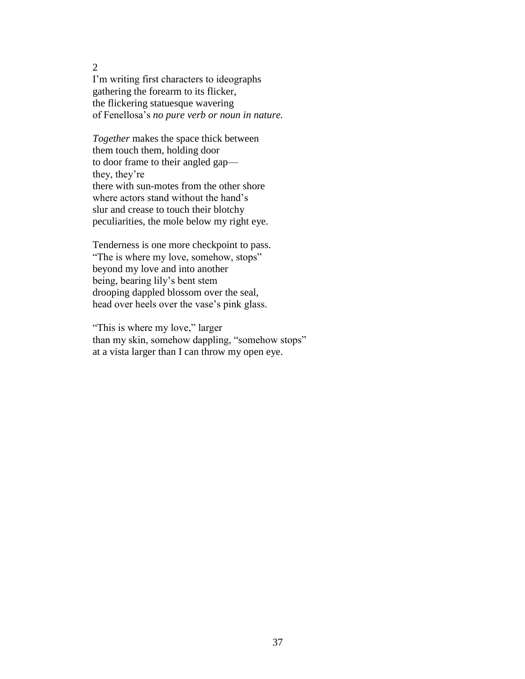I"m writing first characters to ideographs gathering the forearm to its flicker, the flickering statuesque wavering of Fenellosa"s *no pure verb or noun in nature.*

*Together* makes the space thick between them touch them, holding door to door frame to their angled gap they, they"re there with sun-motes from the other shore where actors stand without the hand's slur and crease to touch their blotchy peculiarities, the mole below my right eye.

Tenderness is one more checkpoint to pass. "The is where my love, somehow, stops" beyond my love and into another being, bearing lily"s bent stem drooping dappled blossom over the seal, head over heels over the vase's pink glass.

"This is where my love," larger than my skin, somehow dappling, "somehow stops" at a vista larger than I can throw my open eye.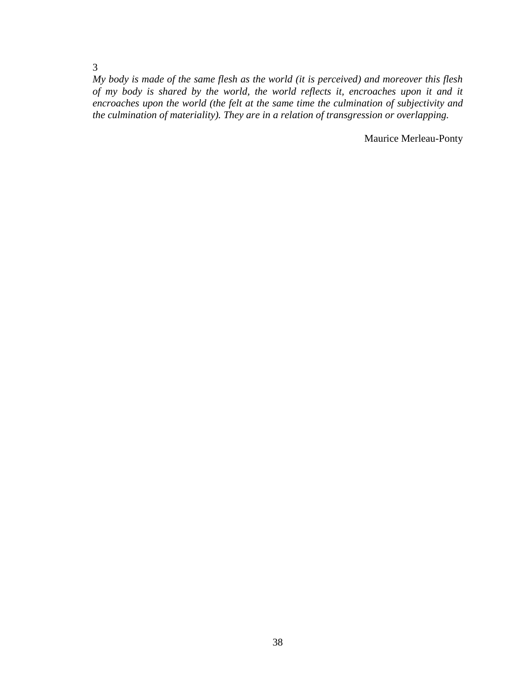*My body is made of the same flesh as the world (it is perceived) and moreover this flesh of my body is shared by the world, the world reflects it, encroaches upon it and it encroaches upon the world (the felt at the same time the culmination of subjectivity and the culmination of materiality). They are in a relation of transgression or overlapping.*

Maurice Merleau-Ponty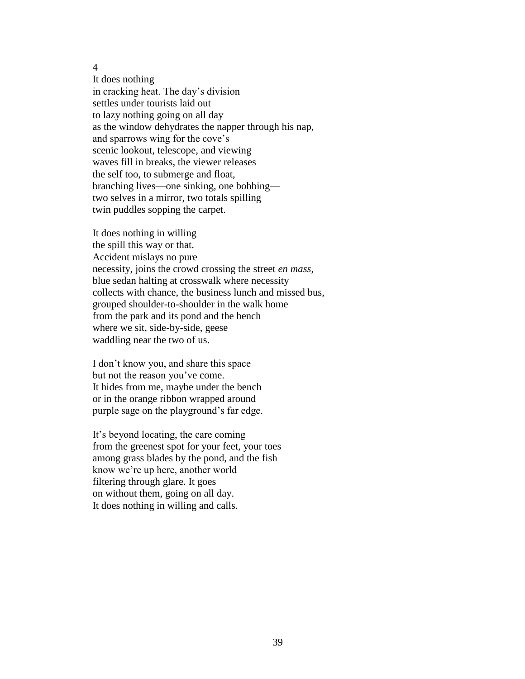It does nothing in cracking heat. The day"s division settles under tourists laid out to lazy nothing going on all day as the window dehydrates the napper through his nap, and sparrows wing for the cove"s scenic lookout, telescope, and viewing waves fill in breaks, the viewer releases the self too, to submerge and float, branching lives—one sinking, one bobbing two selves in a mirror, two totals spilling twin puddles sopping the carpet.

It does nothing in willing the spill this way or that. Accident mislays no pure necessity, joins the crowd crossing the street *en mass,* blue sedan halting at crosswalk where necessity collects with chance, the business lunch and missed bus, grouped shoulder-to-shoulder in the walk home from the park and its pond and the bench where we sit, side-by-side, geese waddling near the two of us.

I don"t know you, and share this space but not the reason you"ve come. It hides from me, maybe under the bench or in the orange ribbon wrapped around purple sage on the playground"s far edge.

It"s beyond locating, the care coming from the greenest spot for your feet, your toes among grass blades by the pond, and the fish know we"re up here, another world filtering through glare. It goes on without them, going on all day. It does nothing in willing and calls.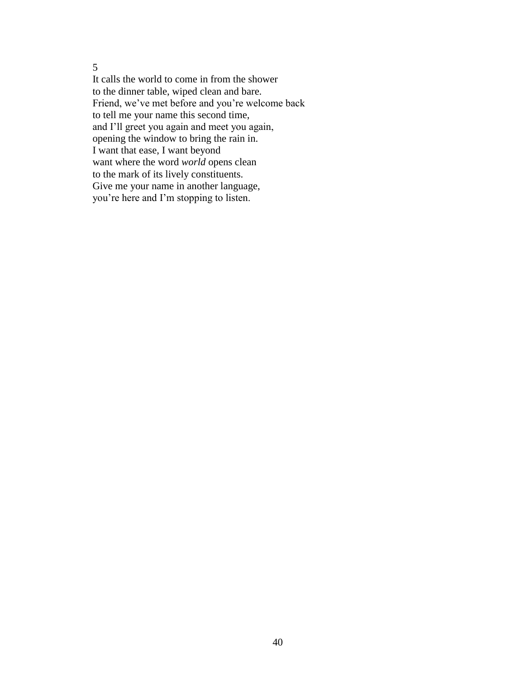It calls the world to come in from the shower to the dinner table, wiped clean and bare. Friend, we"ve met before and you"re welcome back to tell me your name this second time, and I"ll greet you again and meet you again, opening the window to bring the rain in. I want that ease, I want beyond want where the word *world* opens clean to the mark of its lively constituents. Give me your name in another language, you"re here and I"m stopping to listen.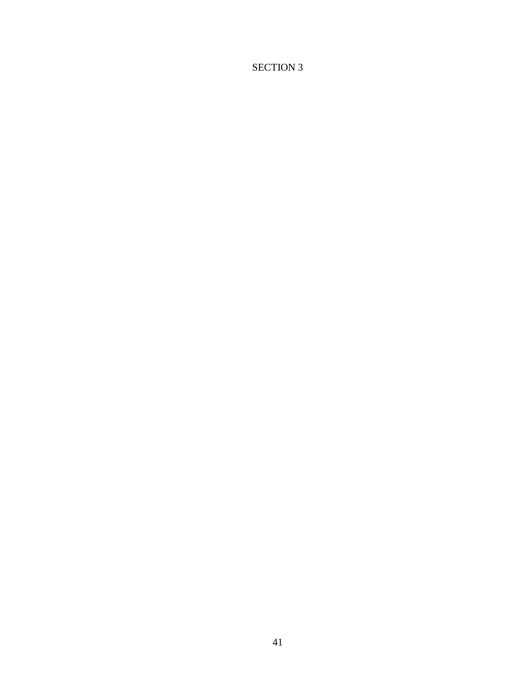# SECTION 3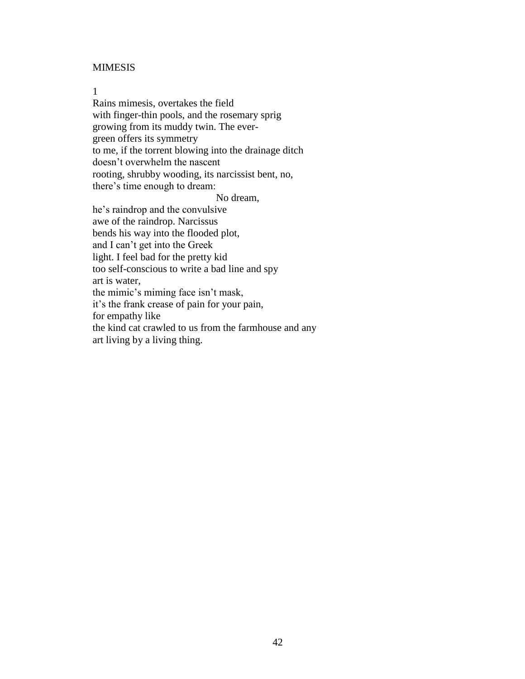#### MIMESIS

## 1

Rains mimesis, overtakes the field with finger-thin pools, and the rosemary sprig growing from its muddy twin. The evergreen offers its symmetry to me, if the torrent blowing into the drainage ditch doesn"t overwhelm the nascent rooting, shrubby wooding, its narcissist bent, no, there"s time enough to dream:

No dream,

he"s raindrop and the convulsive awe of the raindrop. Narcissus bends his way into the flooded plot, and I can"t get into the Greek light. I feel bad for the pretty kid too self-conscious to write a bad line and spy art is water, the mimic"s miming face isn"t mask, it"s the frank crease of pain for your pain, for empathy like the kind cat crawled to us from the farmhouse and any art living by a living thing.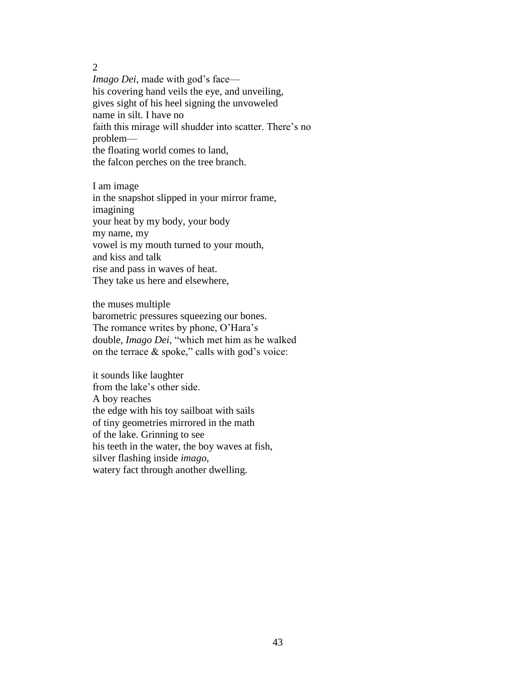*Imago Dei*, made with god's face his covering hand veils the eye, and unveiling, gives sight of his heel signing the unvoweled name in silt. I have no faith this mirage will shudder into scatter. There's no problem the floating world comes to land, the falcon perches on the tree branch.

I am image in the snapshot slipped in your mirror frame, imagining your heat by my body, your body my name, my vowel is my mouth turned to your mouth, and kiss and talk rise and pass in waves of heat. They take us here and elsewhere,

the muses multiple barometric pressures squeezing our bones. The romance writes by phone, O'Hara's double, *Imago Dei*, "which met him as he walked on the terrace  $\&$  spoke," calls with god's voice:

it sounds like laughter from the lake"s other side. A boy reaches the edge with his toy sailboat with sails of tiny geometries mirrored in the math of the lake. Grinning to see his teeth in the water, the boy waves at fish, silver flashing inside *imago*, watery fact through another dwelling.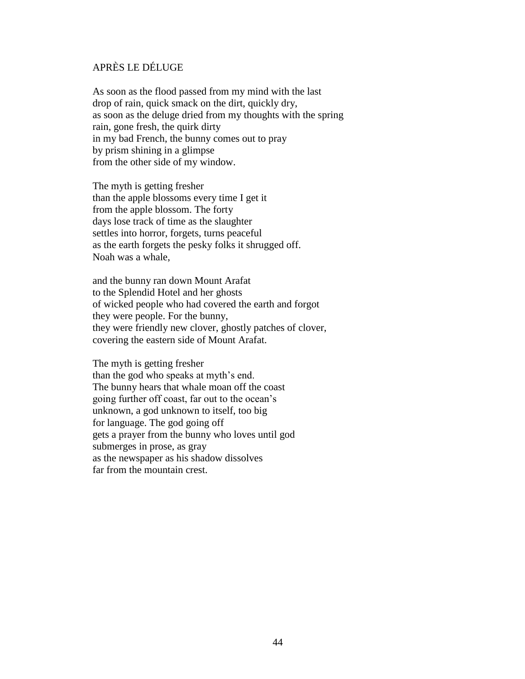# APRÈS LE DÉLUGE

As soon as the flood passed from my mind with the last drop of rain, quick smack on the dirt, quickly dry, as soon as the deluge dried from my thoughts with the spring rain, gone fresh, the quirk dirty in my bad French, the bunny comes out to pray by prism shining in a glimpse from the other side of my window.

The myth is getting fresher than the apple blossoms every time I get it from the apple blossom. The forty days lose track of time as the slaughter settles into horror, forgets, turns peaceful as the earth forgets the pesky folks it shrugged off. Noah was a whale,

and the bunny ran down Mount Arafat to the Splendid Hotel and her ghosts of wicked people who had covered the earth and forgot they were people. For the bunny, they were friendly new clover, ghostly patches of clover, covering the eastern side of Mount Arafat.

The myth is getting fresher than the god who speaks at myth's end. The bunny hears that whale moan off the coast going further off coast, far out to the ocean"s unknown, a god unknown to itself, too big for language. The god going off gets a prayer from the bunny who loves until god submerges in prose, as gray as the newspaper as his shadow dissolves far from the mountain crest.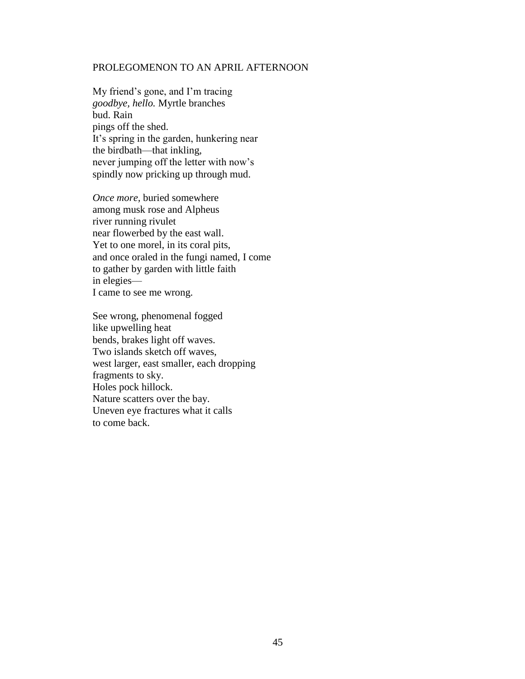#### PROLEGOMENON TO AN APRIL AFTERNOON

My friend"s gone, and I"m tracing *goodbye, hello.* Myrtle branches bud. Rain pings off the shed. It's spring in the garden, hunkering near the birdbath—that inkling, never jumping off the letter with now"s spindly now pricking up through mud.

*Once more,* buried somewhere among musk rose and Alpheus river running rivulet near flowerbed by the east wall. Yet to one morel, in its coral pits, and once oraled in the fungi named, I come to gather by garden with little faith in elegies— I came to see me wrong.

See wrong, phenomenal fogged like upwelling heat bends, brakes light off waves. Two islands sketch off waves, west larger, east smaller, each dropping fragments to sky. Holes pock hillock. Nature scatters over the bay. Uneven eye fractures what it calls to come back.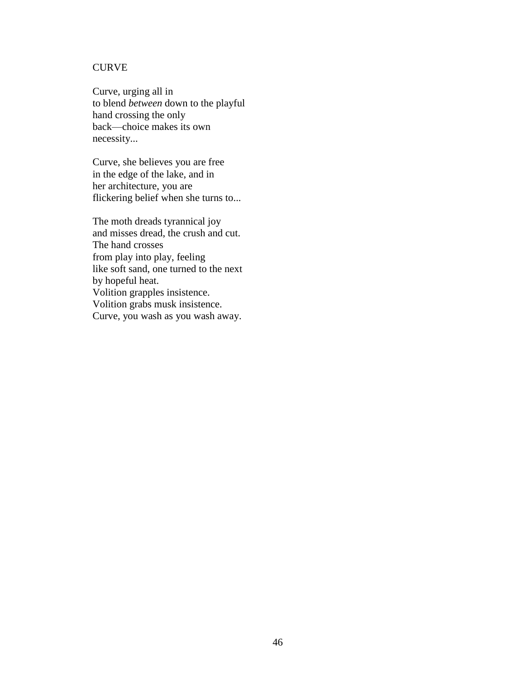# **CURVE**

Curve, urging all in to blend *between* down to the playful hand crossing the only back—choice makes its own necessity...

Curve, she believes you are free in the edge of the lake, and in her architecture, you are flickering belief when she turns to...

The moth dreads tyrannical joy and misses dread, the crush and cut. The hand crosses from play into play, feeling like soft sand, one turned to the next by hopeful heat. Volition grapples insistence. Volition grabs musk insistence. Curve, you wash as you wash away.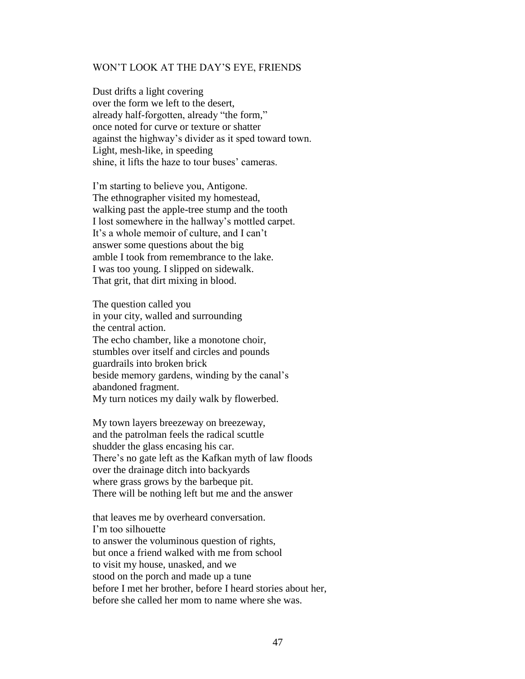#### WON"T LOOK AT THE DAY"S EYE, FRIENDS

Dust drifts a light covering over the form we left to the desert, already half-forgotten, already "the form," once noted for curve or texture or shatter against the highway"s divider as it sped toward town. Light, mesh-like, in speeding shine, it lifts the haze to tour buses' cameras.

I'm starting to believe you, Antigone. The ethnographer visited my homestead, walking past the apple-tree stump and the tooth I lost somewhere in the hallway"s mottled carpet. It's a whole memoir of culture, and I can't answer some questions about the big amble I took from remembrance to the lake. I was too young. I slipped on sidewalk. That grit, that dirt mixing in blood.

The question called you in your city, walled and surrounding the central action. The echo chamber, like a monotone choir, stumbles over itself and circles and pounds guardrails into broken brick beside memory gardens, winding by the canal"s abandoned fragment. My turn notices my daily walk by flowerbed.

My town layers breezeway on breezeway, and the patrolman feels the radical scuttle shudder the glass encasing his car. There's no gate left as the Kafkan myth of law floods over the drainage ditch into backyards where grass grows by the barbeque pit. There will be nothing left but me and the answer

that leaves me by overheard conversation. I'm too silhouette to answer the voluminous question of rights, but once a friend walked with me from school to visit my house, unasked, and we stood on the porch and made up a tune before I met her brother, before I heard stories about her, before she called her mom to name where she was.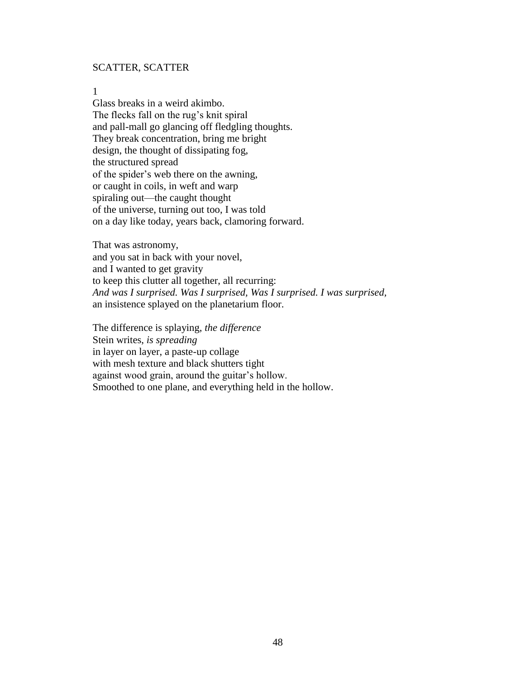## SCATTER, SCATTER

#### 1

Glass breaks in a weird akimbo. The flecks fall on the rug's knit spiral and pall-mall go glancing off fledgling thoughts. They break concentration, bring me bright design, the thought of dissipating fog, the structured spread of the spider"s web there on the awning, or caught in coils, in weft and warp spiraling out—the caught thought of the universe, turning out too, I was told on a day like today, years back, clamoring forward.

That was astronomy, and you sat in back with your novel, and I wanted to get gravity to keep this clutter all together, all recurring: *And was I surprised. Was I surprised, Was I surprised. I was surprised,* an insistence splayed on the planetarium floor.

The difference is splaying, *the difference* Stein writes, *is spreading* in layer on layer, a paste-up collage with mesh texture and black shutters tight against wood grain, around the guitar"s hollow. Smoothed to one plane, and everything held in the hollow.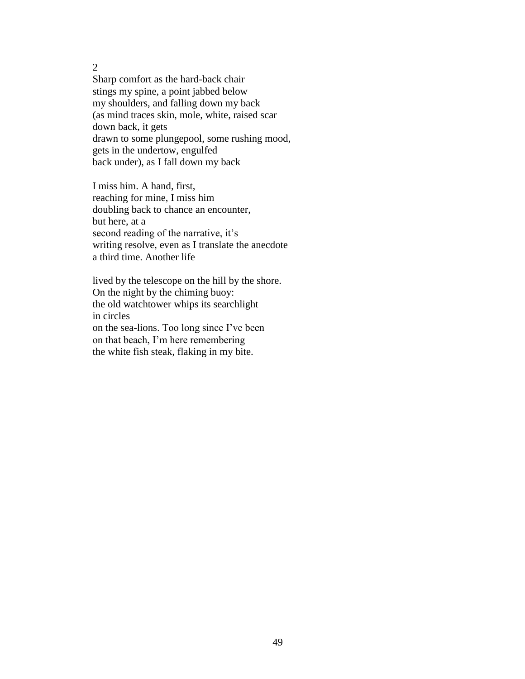Sharp comfort as the hard-back chair stings my spine, a point jabbed below my shoulders, and falling down my back (as mind traces skin, mole, white, raised scar down back, it gets drawn to some plungepool, some rushing mood, gets in the undertow, engulfed back under), as I fall down my back

I miss him. A hand, first, reaching for mine, I miss him doubling back to chance an encounter, but here, at a second reading of the narrative, it's writing resolve, even as I translate the anecdote a third time. Another life

lived by the telescope on the hill by the shore. On the night by the chiming buoy: the old watchtower whips its searchlight in circles on the sea-lions. Too long since I"ve been on that beach, I"m here remembering the white fish steak, flaking in my bite.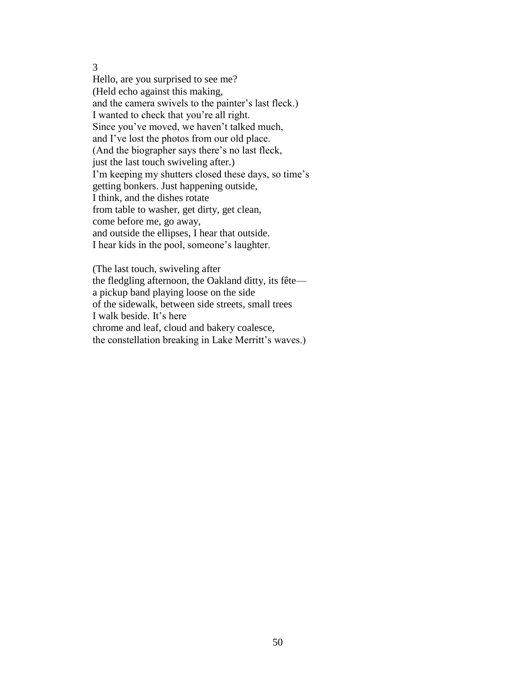Hello, are you surprised to see me? (Held echo against this making, and the camera swivels to the painter"s last fleck.) I wanted to check that you"re all right. Since you've moved, we haven't talked much, and I've lost the photos from our old place. (And the biographer says there"s no last fleck, just the last touch swiveling after.) I'm keeping my shutters closed these days, so time's getting bonkers. Just happening outside, I think, and the dishes rotate from table to washer, get dirty, get clean, come before me, go away, and outside the ellipses, I hear that outside. I hear kids in the pool, someone"s laughter.

(The last touch, swiveling after the fledgling afternoon, the Oakland ditty, its fête a pickup band playing loose on the side of the sidewalk, between side streets, small trees I walk beside. It"s here chrome and leaf, cloud and bakery coalesce, the constellation breaking in Lake Merritt's waves.)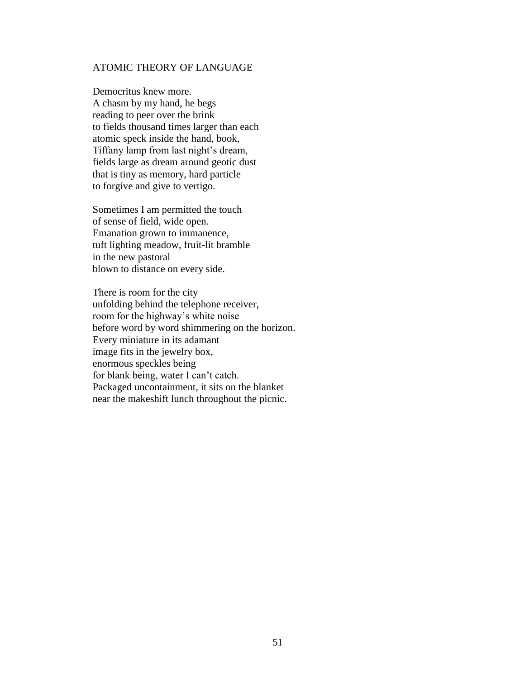#### ATOMIC THEORY OF LANGUAGE

Democritus knew more. A chasm by my hand, he begs reading to peer over the brink to fields thousand times larger than each atomic speck inside the hand, book, Tiffany lamp from last night's dream, fields large as dream around geotic dust that is tiny as memory, hard particle to forgive and give to vertigo.

Sometimes I am permitted the touch of sense of field, wide open. Emanation grown to immanence, tuft lighting meadow, fruit-lit bramble in the new pastoral blown to distance on every side.

There is room for the city unfolding behind the telephone receiver, room for the highway"s white noise before word by word shimmering on the horizon. Every miniature in its adamant image fits in the jewelry box, enormous speckles being for blank being, water I can"t catch. Packaged uncontainment, it sits on the blanket near the makeshift lunch throughout the picnic.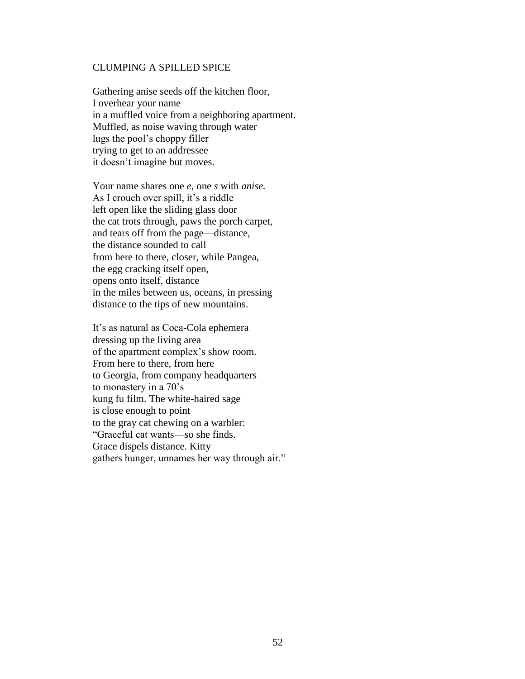#### CLUMPING A SPILLED SPICE

Gathering anise seeds off the kitchen floor, I overhear your name in a muffled voice from a neighboring apartment. Muffled, as noise waving through water lugs the pool"s choppy filler trying to get to an addressee it doesn"t imagine but moves.

Your name shares one *e*, one *s* with *anise.* As I crouch over spill, it's a riddle left open like the sliding glass door the cat trots through, paws the porch carpet, and tears off from the page—distance, the distance sounded to call from here to there, closer, while Pangea, the egg cracking itself open, opens onto itself, distance in the miles between us, oceans, in pressing distance to the tips of new mountains.

It's as natural as Coca-Cola ephemera dressing up the living area of the apartment complex"s show room. From here to there, from here to Georgia, from company headquarters to monastery in a 70"s kung fu film. The white-haired sage is close enough to point to the gray cat chewing on a warbler: "Graceful cat wants—so she finds. Grace dispels distance. Kitty gathers hunger, unnames her way through air."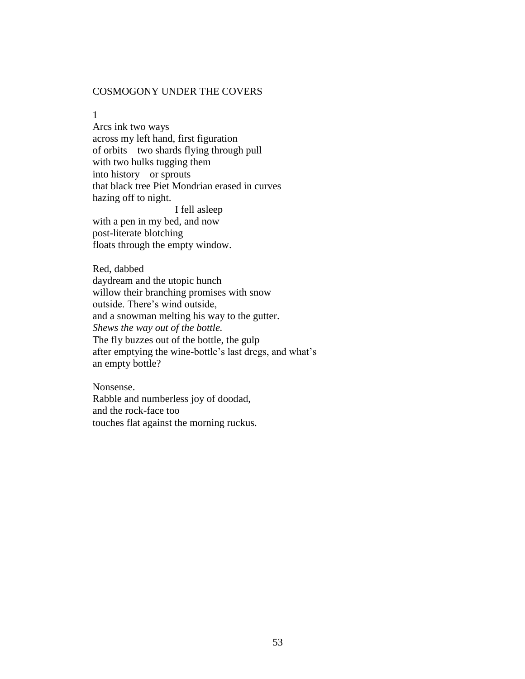## COSMOGONY UNDER THE COVERS

1

Arcs ink two ways across my left hand, first figuration of orbits—two shards flying through pull with two hulks tugging them into history—or sprouts that black tree Piet Mondrian erased in curves hazing off to night. I fell asleep with a pen in my bed, and now post-literate blotching floats through the empty window.

Red, dabbed daydream and the utopic hunch willow their branching promises with snow outside. There"s wind outside, and a snowman melting his way to the gutter. *Shews the way out of the bottle.* The fly buzzes out of the bottle, the gulp after emptying the wine-bottle"s last dregs, and what"s an empty bottle?

Nonsense. Rabble and numberless joy of doodad, and the rock-face too touches flat against the morning ruckus.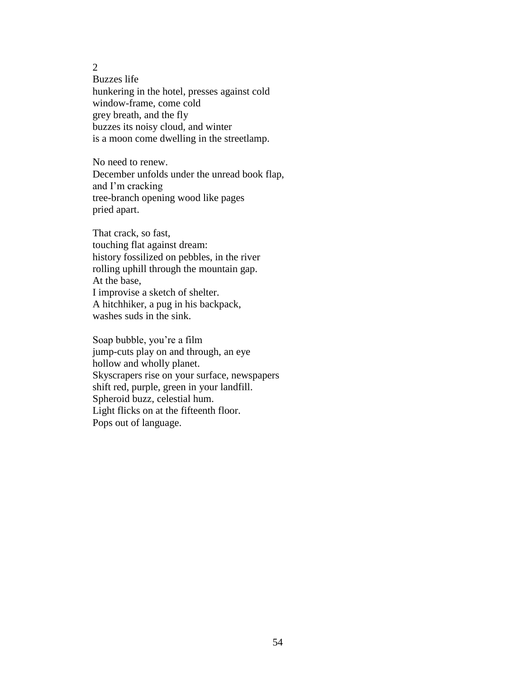Buzzes life hunkering in the hotel, presses against cold window-frame, come cold grey breath, and the fly buzzes its noisy cloud, and winter is a moon come dwelling in the streetlamp.

No need to renew. December unfolds under the unread book flap, and I"m cracking tree-branch opening wood like pages pried apart.

That crack, so fast, touching flat against dream: history fossilized on pebbles, in the river rolling uphill through the mountain gap. At the base, I improvise a sketch of shelter. A hitchhiker, a pug in his backpack, washes suds in the sink.

Soap bubble, you"re a film jump-cuts play on and through, an eye hollow and wholly planet. Skyscrapers rise on your surface, newspapers shift red, purple, green in your landfill. Spheroid buzz, celestial hum. Light flicks on at the fifteenth floor. Pops out of language.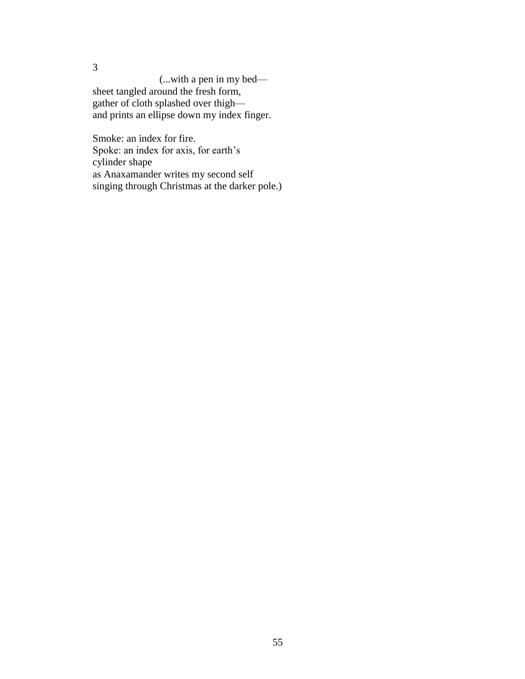(...with a pen in my bed sheet tangled around the fresh form, gather of cloth splashed over thigh and prints an ellipse down my index finger.

3

Smoke: an index for fire. Spoke: an index for axis, for earth's cylinder shape as Anaxamander writes my second self singing through Christmas at the darker pole.)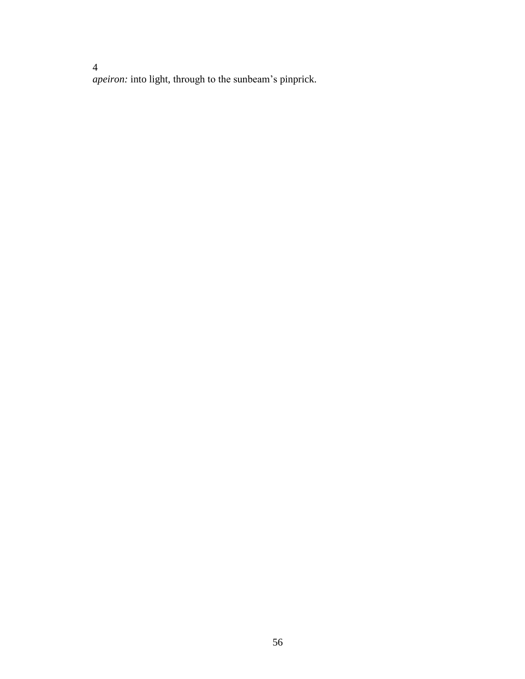*apeiron:* into light, through to the sunbeam"s pinprick.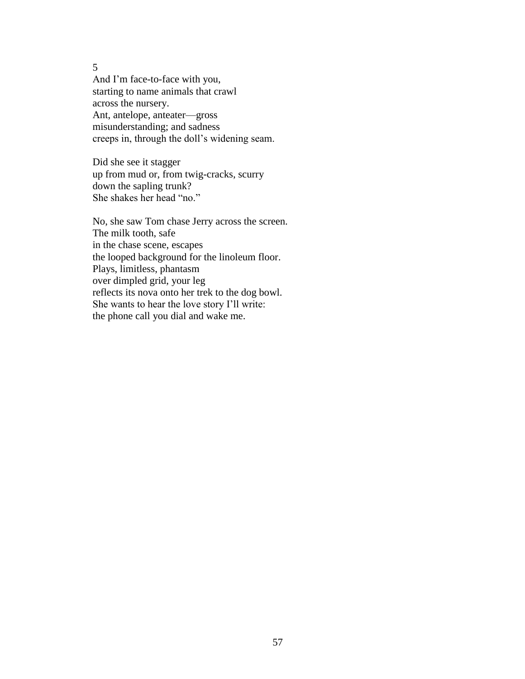And I"m face-to-face with you, starting to name animals that crawl across the nursery. Ant, antelope, anteater—gross misunderstanding; and sadness creeps in, through the doll"s widening seam.

Did she see it stagger up from mud or, from twig-cracks, scurry down the sapling trunk? She shakes her head "no."

No, she saw Tom chase Jerry across the screen. The milk tooth, safe in the chase scene, escapes the looped background for the linoleum floor. Plays, limitless, phantasm over dimpled grid, your leg reflects its nova onto her trek to the dog bowl. She wants to hear the love story I"ll write: the phone call you dial and wake me.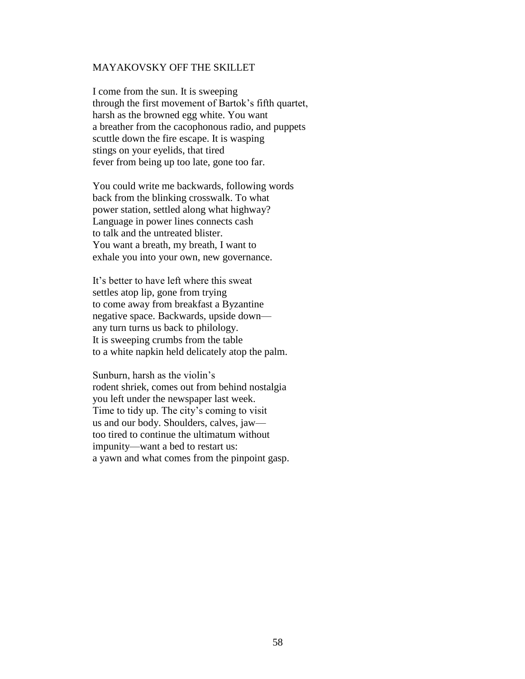#### MAYAKOVSKY OFF THE SKILLET

I come from the sun. It is sweeping through the first movement of Bartok"s fifth quartet, harsh as the browned egg white. You want a breather from the cacophonous radio, and puppets scuttle down the fire escape. It is wasping stings on your eyelids, that tired fever from being up too late, gone too far.

You could write me backwards, following words back from the blinking crosswalk. To what power station, settled along what highway? Language in power lines connects cash to talk and the untreated blister. You want a breath, my breath, I want to exhale you into your own, new governance.

It's better to have left where this sweat settles atop lip, gone from trying to come away from breakfast a Byzantine negative space. Backwards, upside down any turn turns us back to philology. It is sweeping crumbs from the table to a white napkin held delicately atop the palm.

Sunburn, harsh as the violin's rodent shriek, comes out from behind nostalgia you left under the newspaper last week. Time to tidy up. The city's coming to visit us and our body. Shoulders, calves, jaw too tired to continue the ultimatum without impunity—want a bed to restart us: a yawn and what comes from the pinpoint gasp.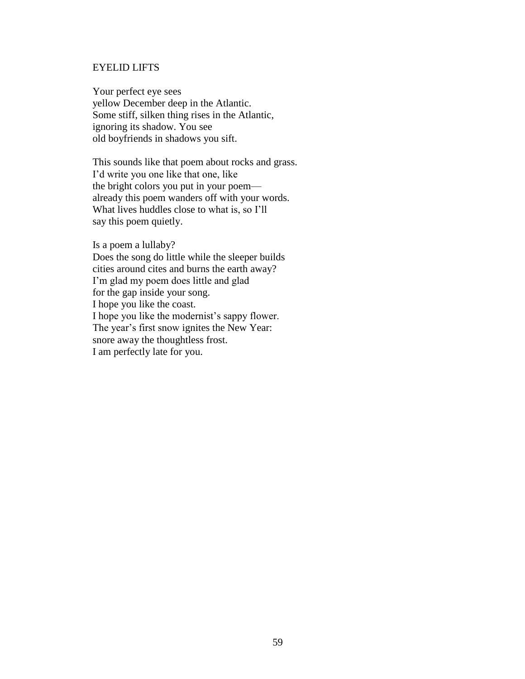#### EYELID LIFTS

Your perfect eye sees yellow December deep in the Atlantic. Some stiff, silken thing rises in the Atlantic, ignoring its shadow. You see old boyfriends in shadows you sift.

This sounds like that poem about rocks and grass. I"d write you one like that one, like the bright colors you put in your poem already this poem wanders off with your words. What lives huddles close to what is, so I"ll say this poem quietly.

Is a poem a lullaby? Does the song do little while the sleeper builds cities around cites and burns the earth away? I"m glad my poem does little and glad for the gap inside your song. I hope you like the coast. I hope you like the modernist's sappy flower. The year's first snow ignites the New Year: snore away the thoughtless frost. I am perfectly late for you.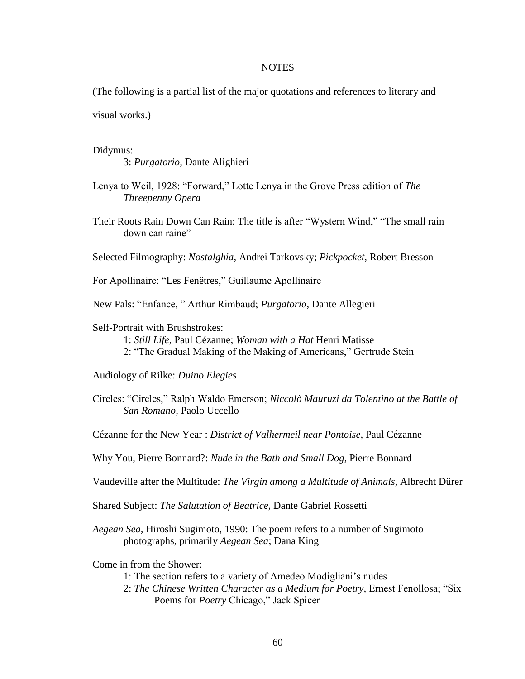#### **NOTES**

(The following is a partial list of the major quotations and references to literary and

visual works.)

#### Didymus:

3: *Purgatorio,* Dante Alighieri

- Lenya to Weil, 1928: "Forward," Lotte Lenya in the Grove Press edition of *The Threepenny Opera*
- Their Roots Rain Down Can Rain: The title is after "Wystern Wind," "The small rain down can raine"

Selected Filmography: *Nostalghia,* Andrei Tarkovsky; *Pickpocket,* Robert Bresson

For Apollinaire: "Les Fenêtres," Guillaume Apollinaire

New Pals: "Enfance, " Arthur Rimbaud; *Purgatorio*, Dante Allegieri

#### Self-Portrait with Brushstrokes:

1: *Still Life*, Paul Cézanne; *Woman with a Hat* Henri Matisse

- 2: "The Gradual Making of the Making of Americans," Gertrude Stein
- Audiology of Rilke: *Duino Elegies*
- Circles: "Circles," Ralph Waldo Emerson; *Niccolò Mauruzi da Tolentino at the Battle of San Romano*, Paolo Uccello
- Cézanne for the New Year : *District of Valhermeil near Pontoise,* Paul Cézanne
- Why You, Pierre Bonnard?: *Nude in the Bath and Small Dog,* Pierre Bonnard
- Vaudeville after the Multitude: *The Virgin among a Multitude of Animals*, Albrecht Dürer

Shared Subject: *The Salutation of Beatrice,* Dante Gabriel Rossetti

*Aegean Sea,* Hiroshi Sugimoto, 1990: The poem refers to a number of Sugimoto photographs, primarily *Aegean Sea*; Dana King

Come in from the Shower:

- 1: The section refers to a variety of Amedeo Modigliani"s nudes
- 2: *The Chinese Written Character as a Medium for Poetry,* Ernest Fenollosa; "Six Poems for *Poetry* Chicago," Jack Spicer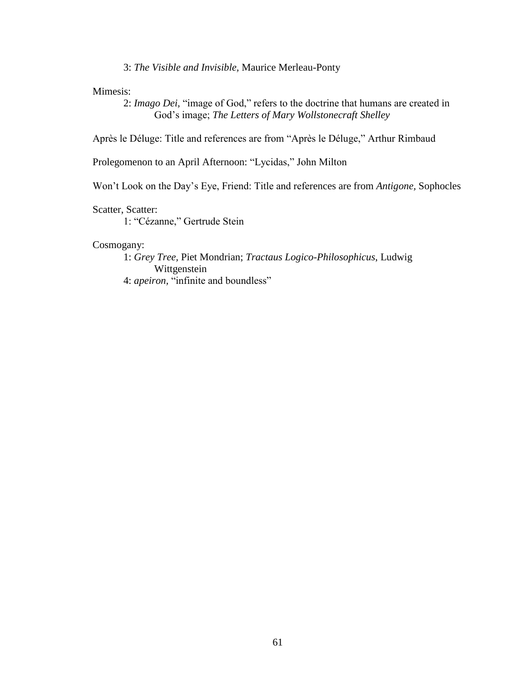3: *The Visible and Invisible,* Maurice Merleau-Ponty

Mimesis:

2: *Imago Dei,* "image of God," refers to the doctrine that humans are created in God"s image; *The Letters of Mary Wollstonecraft Shelley*

Après le Déluge: Title and references are from "Après le Déluge," Arthur Rimbaud

Prolegomenon to an April Afternoon: "Lycidas," John Milton

Won"t Look on the Day"s Eye, Friend: Title and references are from *Antigone,* Sophocles

Scatter, Scatter:

1: "Cézanne," Gertrude Stein

#### Cosmogany:

1: *Grey Tree,* Piet Mondrian; *Tractaus Logico-Philosophicus*, Ludwig Wittgenstein 4: *apeiron,* "infinite and boundless"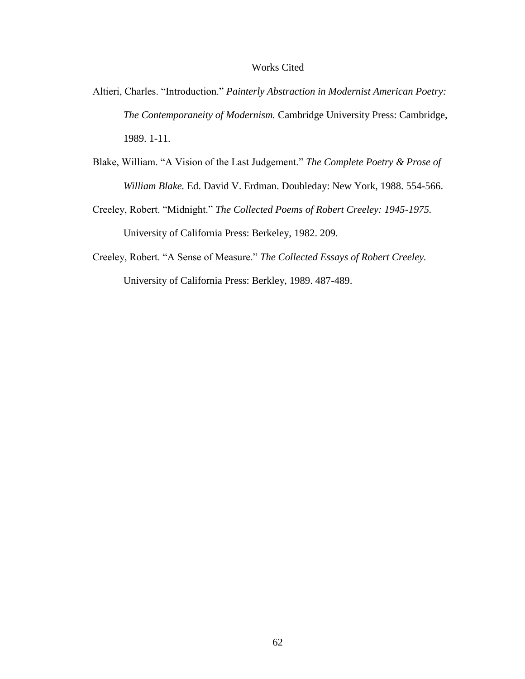## Works Cited

- Altieri, Charles. "Introduction." *Painterly Abstraction in Modernist American Poetry: The Contemporaneity of Modernism.* Cambridge University Press: Cambridge, 1989. 1-11.
- Blake, William. "A Vision of the Last Judgement." *The Complete Poetry & Prose of William Blake.* Ed. David V. Erdman. Doubleday: New York, 1988. 554-566.
- Creeley, Robert. "Midnight." *The Collected Poems of Robert Creeley: 1945-1975.* University of California Press: Berkeley, 1982. 209.
- Creeley, Robert. "A Sense of Measure." *The Collected Essays of Robert Creeley.* University of California Press: Berkley, 1989. 487-489.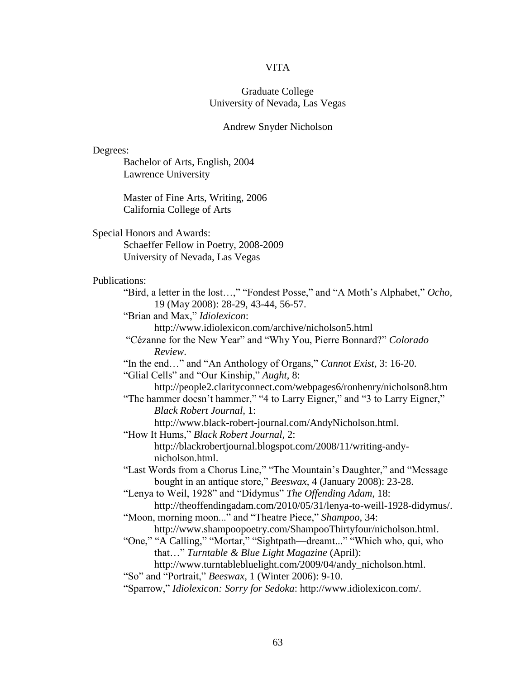#### VITA

## Graduate College University of Nevada, Las Vegas

#### Andrew Snyder Nicholson

Degrees:

Bachelor of Arts, English, 2004 Lawrence University

Master of Fine Arts, Writing, 2006 California College of Arts

Special Honors and Awards:

Schaeffer Fellow in Poetry, 2008-2009 University of Nevada, Las Vegas

#### Publications:

"Bird, a letter in the lost…," "Fondest Posse," and "A Moth"s Alphabet," *Ocho,* 19 (May 2008): 28-29, 43-44, 56-57.

"Brian and Max," *Idiolexicon*:

http://www.idiolexicon.com/archive/nicholson5.html

"Cézanne for the New Year" and "Why You, Pierre Bonnard?" *Colorado Review*.

"In the end…" and "An Anthology of Organs," *Cannot Exist*, 3: 16-20.

"Glial Cells" and "Our Kinship," *Aught*, 8:

http://people2.clarityconnect.com/webpages6/ronhenry/nicholson8.htm "The hammer doesn't hammer," "4 to Larry Eigner," and "3 to Larry Eigner,"

*Black Robert Journal,* 1:

http://www.black-robert-journal.com/AndyNicholson.html.

- "How It Hums," *Black Robert Journal,* 2: http://blackrobertjournal.blogspot.com/2008/11/writing-andynicholson.html.
- "Last Words from a Chorus Line," "The Mountain"s Daughter," and "Message bought in an antique store," *Beeswax*, 4 (January 2008): 23-28.

"Lenya to Weil, 1928" and "Didymus" *The Offending Adam*, 18: http://theoffendingadam.com/2010/05/31/lenya-to-weill-1928-didymus/.

"Moon, morning moon..." and "Theatre Piece," *Shampoo*, 34:

http://www.shampoopoetry.com/ShampooThirtyfour/nicholson.html.

"One," "A Calling," "Mortar," "Sightpath—dreamt..." "Which who, qui, who that…" *Turntable & Blue Light Magazine* (April):

http://www.turntablebluelight.com/2009/04/andy\_nicholson.html.

"So" and "Portrait," *Beeswax*, 1 (Winter 2006): 9-10.

"Sparrow," *Idiolexicon: Sorry for Sedoka*: http://www.idiolexicon.com/.